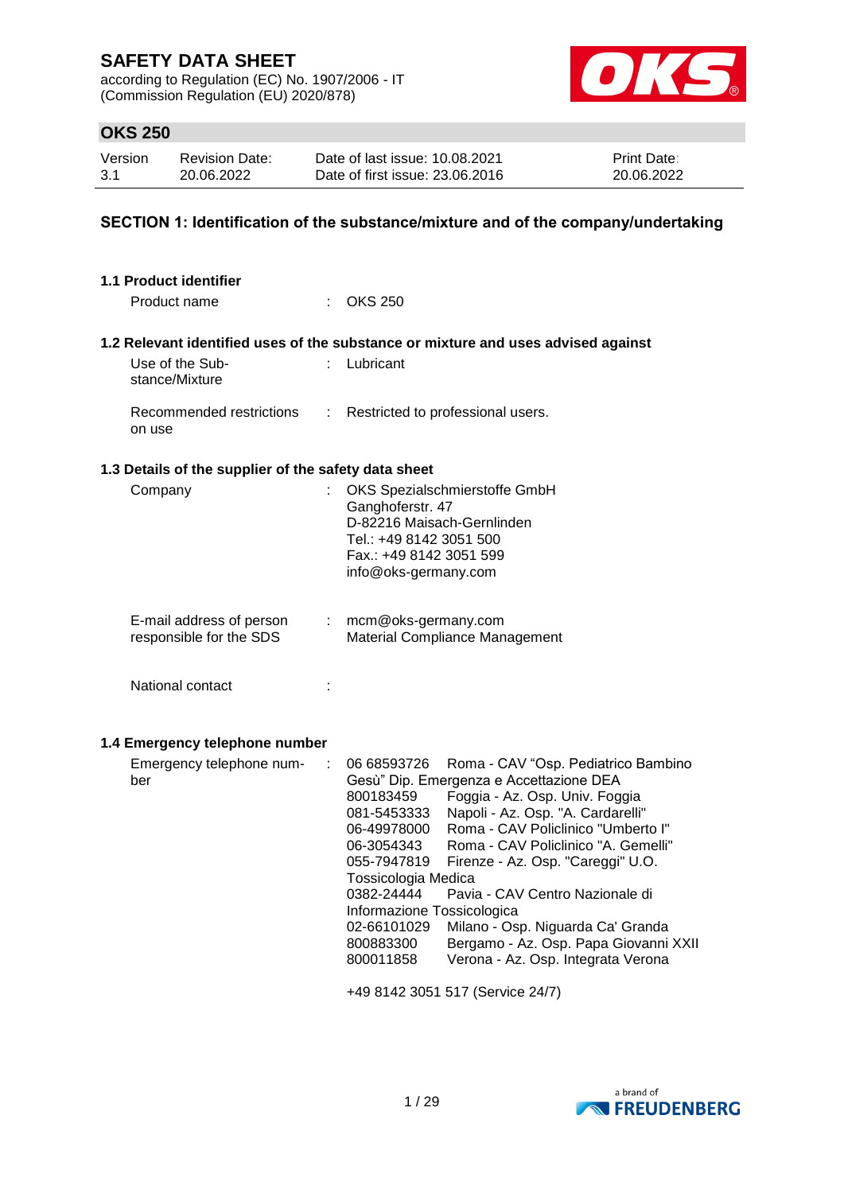according to Regulation (EC) No. 1907/2006 - IT (Commission Regulation (EU) 2020/878)



## **OKS 250**

| Version | <b>Revision Date:</b> | Date of last issue: 10.08.2021  | <b>Print Date:</b> |
|---------|-----------------------|---------------------------------|--------------------|
| 3.1     | 20.06.2022            | Date of first issue: 23,06,2016 | 20.06.2022         |

## **SECTION 1: Identification of the substance/mixture and of the company/undertaking**

| <b>1.1 Product identifier</b>                        |    |                                                                                                                                                                                                                                                                                                                                                                                                                                                                                                                                                                                                                                                                       |
|------------------------------------------------------|----|-----------------------------------------------------------------------------------------------------------------------------------------------------------------------------------------------------------------------------------------------------------------------------------------------------------------------------------------------------------------------------------------------------------------------------------------------------------------------------------------------------------------------------------------------------------------------------------------------------------------------------------------------------------------------|
| Product name                                         |    | <b>OKS 250</b>                                                                                                                                                                                                                                                                                                                                                                                                                                                                                                                                                                                                                                                        |
|                                                      |    | 1.2 Relevant identified uses of the substance or mixture and uses advised against                                                                                                                                                                                                                                                                                                                                                                                                                                                                                                                                                                                     |
| Use of the Sub-<br>stance/Mixture                    |    | Lubricant                                                                                                                                                                                                                                                                                                                                                                                                                                                                                                                                                                                                                                                             |
| Recommended restrictions<br>on use                   | t. | Restricted to professional users.                                                                                                                                                                                                                                                                                                                                                                                                                                                                                                                                                                                                                                     |
| 1.3 Details of the supplier of the safety data sheet |    |                                                                                                                                                                                                                                                                                                                                                                                                                                                                                                                                                                                                                                                                       |
| Company                                              |    | OKS Spezialschmierstoffe GmbH<br>Ganghoferstr. 47<br>D-82216 Maisach-Gernlinden<br>Tel.: +49 8142 3051 500<br>Fax.: +49 8142 3051 599<br>info@oks-germany.com                                                                                                                                                                                                                                                                                                                                                                                                                                                                                                         |
| E-mail address of person<br>responsible for the SDS  | t. | mcm@oks-germany.com<br>Material Compliance Management                                                                                                                                                                                                                                                                                                                                                                                                                                                                                                                                                                                                                 |
| National contact                                     | t  |                                                                                                                                                                                                                                                                                                                                                                                                                                                                                                                                                                                                                                                                       |
| 1.4 Emergency telephone number                       |    |                                                                                                                                                                                                                                                                                                                                                                                                                                                                                                                                                                                                                                                                       |
| Emergency telephone num-<br>ber                      | ÷  | 06 68593726<br>Roma - CAV "Osp. Pediatrico Bambino<br>Gesù" Dip. Emergenza e Accettazione DEA<br>Foggia - Az. Osp. Univ. Foggia<br>800183459<br>Napoli - Az. Osp. "A. Cardarelli"<br>081-5453333<br>Roma - CAV Policlinico "Umberto I"<br>06-49978000<br>Roma - CAV Policlinico "A. Gemelli"<br>06-3054343<br>Firenze - Az. Osp. "Careggi" U.O.<br>055-7947819<br>Tossicologia Medica<br>0382-24444<br>Pavia - CAV Centro Nazionale di<br>Informazione Tossicologica<br>Milano - Osp. Niguarda Ca' Granda<br>02-66101029<br>Bergamo - Az. Osp. Papa Giovanni XXII<br>800883300<br>Verona - Az. Osp. Integrata Verona<br>800011858<br>+49 8142 3051 517 (Service 24/7) |
|                                                      |    |                                                                                                                                                                                                                                                                                                                                                                                                                                                                                                                                                                                                                                                                       |

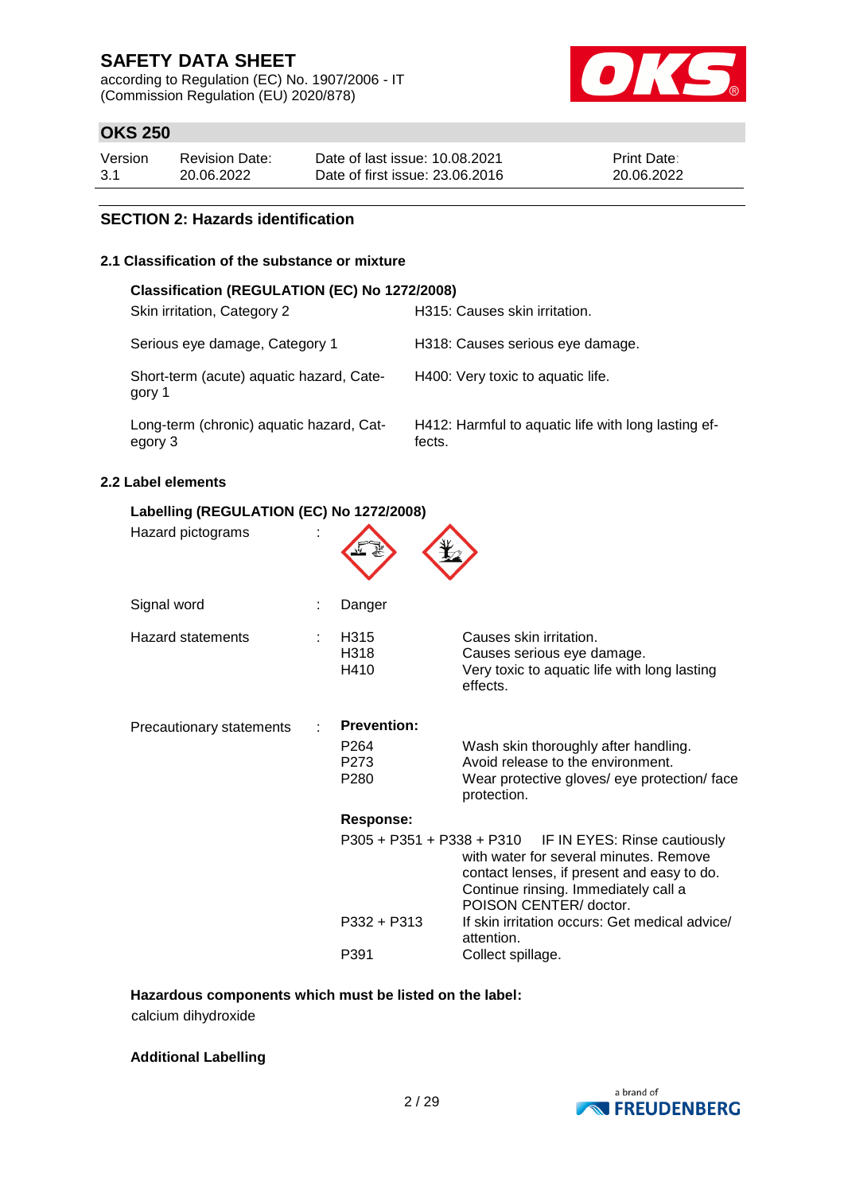according to Regulation (EC) No. 1907/2006 - IT (Commission Regulation (EU) 2020/878)



## **OKS 250**

| Version | <b>Revision Date:</b> | Date of last issue: 10.08.2021  | Print Date: |
|---------|-----------------------|---------------------------------|-------------|
| 3.1     | 20.06.2022            | Date of first issue: 23,06,2016 | 20.06.2022  |

## **SECTION 2: Hazards identification**

## **2.1 Classification of the substance or mixture**

| Classification (REGULATION (EC) No 1272/2008)       |                                                               |
|-----------------------------------------------------|---------------------------------------------------------------|
| Skin irritation, Category 2                         | H315: Causes skin irritation.                                 |
| Serious eye damage, Category 1                      | H318: Causes serious eye damage.                              |
| Short-term (acute) aquatic hazard, Cate-<br>gory 1  | H400: Very toxic to aquatic life.                             |
| Long-term (chronic) aquatic hazard, Cat-<br>egory 3 | H412: Harmful to aquatic life with long lasting ef-<br>fects. |

## **2.2 Label elements**

| Labelling (REGULATION (EC) No 1272/2008) |  |                                              |                                                                                                                                                                                                                    |  |  |  |
|------------------------------------------|--|----------------------------------------------|--------------------------------------------------------------------------------------------------------------------------------------------------------------------------------------------------------------------|--|--|--|
| Hazard pictograms                        |  |                                              |                                                                                                                                                                                                                    |  |  |  |
| Signal word                              |  | Danger                                       |                                                                                                                                                                                                                    |  |  |  |
| Hazard statements                        |  | H315<br>H318<br>H410                         | Causes skin irritation.<br>Causes serious eye damage.<br>Very toxic to aquatic life with long lasting<br>effects.                                                                                                  |  |  |  |
| Precautionary statements                 |  | <b>Prevention:</b>                           |                                                                                                                                                                                                                    |  |  |  |
|                                          |  | P <sub>264</sub><br>P273<br>P <sub>280</sub> | Wash skin thoroughly after handling.<br>Avoid release to the environment.<br>Wear protective gloves/ eye protection/ face<br>protection.                                                                           |  |  |  |
|                                          |  | <b>Response:</b>                             |                                                                                                                                                                                                                    |  |  |  |
|                                          |  |                                              | $P305 + P351 + P338 + P310$ IF IN EYES: Rinse cautiously<br>with water for several minutes. Remove<br>contact lenses, if present and easy to do.<br>Continue rinsing. Immediately call a<br>POISON CENTER/ doctor. |  |  |  |
|                                          |  | P332 + P313                                  | If skin irritation occurs: Get medical advice/<br>attention.                                                                                                                                                       |  |  |  |
|                                          |  | P391                                         | Collect spillage.                                                                                                                                                                                                  |  |  |  |

## **Hazardous components which must be listed on the label:**

calcium dihydroxide

### **Additional Labelling**

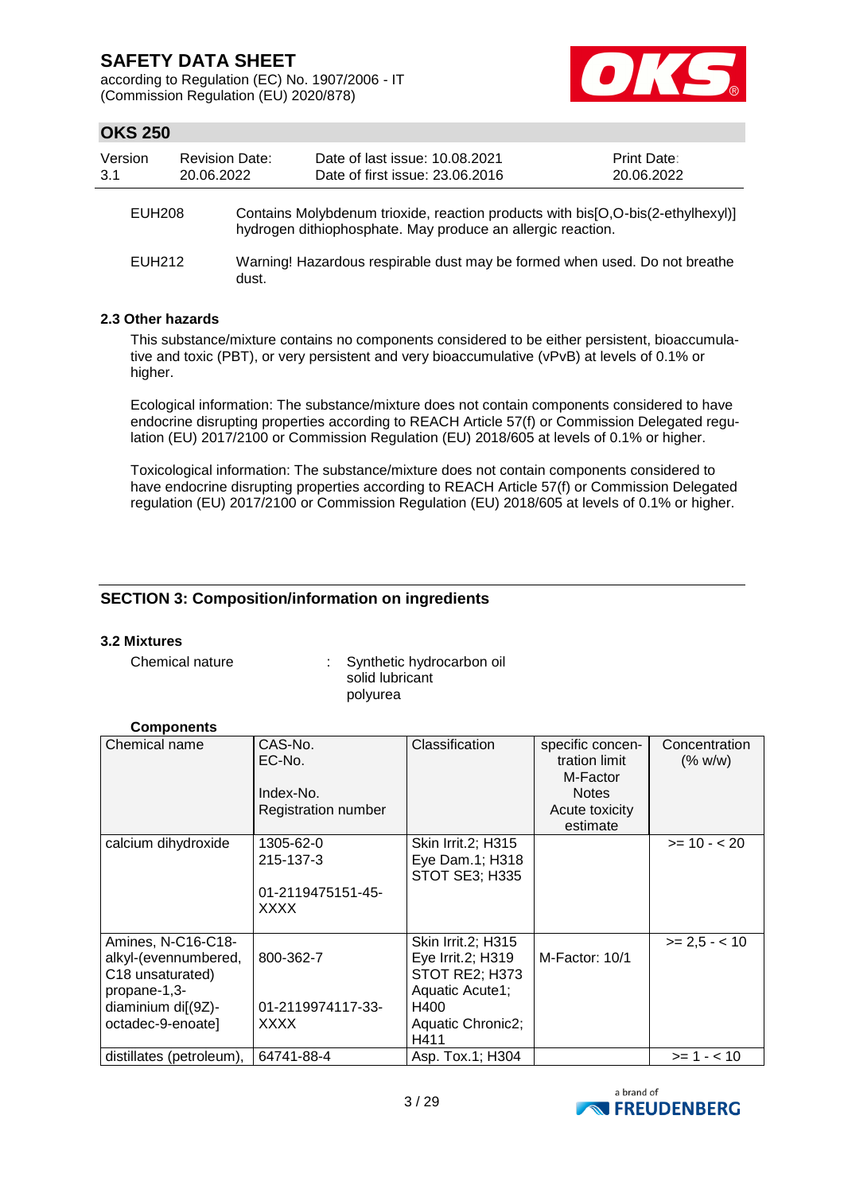according to Regulation (EC) No. 1907/2006 - IT (Commission Regulation (EU) 2020/878)



## **OKS 250**

| Version<br>3.1     | <b>Revision Date:</b><br>20.06.2022 |       | Date of last issue: 10.08.2021<br>Date of first issue: 23.06.2016 |                                                                                                                                                |  | Print Date:<br>20.06.2022 |
|--------------------|-------------------------------------|-------|-------------------------------------------------------------------|------------------------------------------------------------------------------------------------------------------------------------------------|--|---------------------------|
| <b>EUH208</b>      |                                     |       |                                                                   | Contains Molybdenum trioxide, reaction products with bis[O,O-bis(2-ethylhexyl)]<br>hydrogen dithiophosphate. May produce an allergic reaction. |  |                           |
| EUH <sub>212</sub> |                                     | dust. |                                                                   | Warning! Hazardous respirable dust may be formed when used. Do not breathe                                                                     |  |                           |

## **2.3 Other hazards**

This substance/mixture contains no components considered to be either persistent, bioaccumulative and toxic (PBT), or very persistent and very bioaccumulative (vPvB) at levels of 0.1% or higher.

Ecological information: The substance/mixture does not contain components considered to have endocrine disrupting properties according to REACH Article 57(f) or Commission Delegated regulation (EU) 2017/2100 or Commission Regulation (EU) 2018/605 at levels of 0.1% or higher.

Toxicological information: The substance/mixture does not contain components considered to have endocrine disrupting properties according to REACH Article 57(f) or Commission Delegated regulation (EU) 2017/2100 or Commission Regulation (EU) 2018/605 at levels of 0.1% or higher.

## **SECTION 3: Composition/information on ingredients**

### **3.2 Mixtures**

Chemical nature : Synthetic hydrocarbon oil solid lubricant polyurea

### **Components**

| Chemical name                                                                                                                         | CAS-No.<br>EC-No.<br>Index-No.<br><b>Registration number</b> | Classification                                                                                                    | specific concen-<br>tration limit<br>M-Factor<br><b>Notes</b><br>Acute toxicity<br>estimate | Concentration<br>(% w/w) |
|---------------------------------------------------------------------------------------------------------------------------------------|--------------------------------------------------------------|-------------------------------------------------------------------------------------------------------------------|---------------------------------------------------------------------------------------------|--------------------------|
| calcium dihydroxide                                                                                                                   | 1305-62-0<br>215-137-3<br>01-2119475151-45-<br>XXXX          | Skin Irrit.2; H315<br>Eye Dam.1; H318<br>STOT SE3; H335                                                           |                                                                                             | $>= 10 - 20$             |
| Amines, N-C16-C18-<br>alkyl-(evennumbered,<br>C <sub>18</sub> unsaturated)<br>propane-1,3-<br>diaminium di[(9Z)-<br>octadec-9-enoate] | 800-362-7<br>01-2119974117-33-<br><b>XXXX</b>                | Skin Irrit.2; H315<br>Eye Irrit.2; H319<br>STOT RE2; H373<br>Aquatic Acute1;<br>H400<br>Aquatic Chronic2;<br>H411 | M-Factor: 10/1                                                                              | $>= 2.5 - 10$            |
| distillates (petroleum),                                                                                                              | 64741-88-4                                                   | Asp. Tox.1; H304                                                                                                  |                                                                                             | $>= 1 - 10$              |

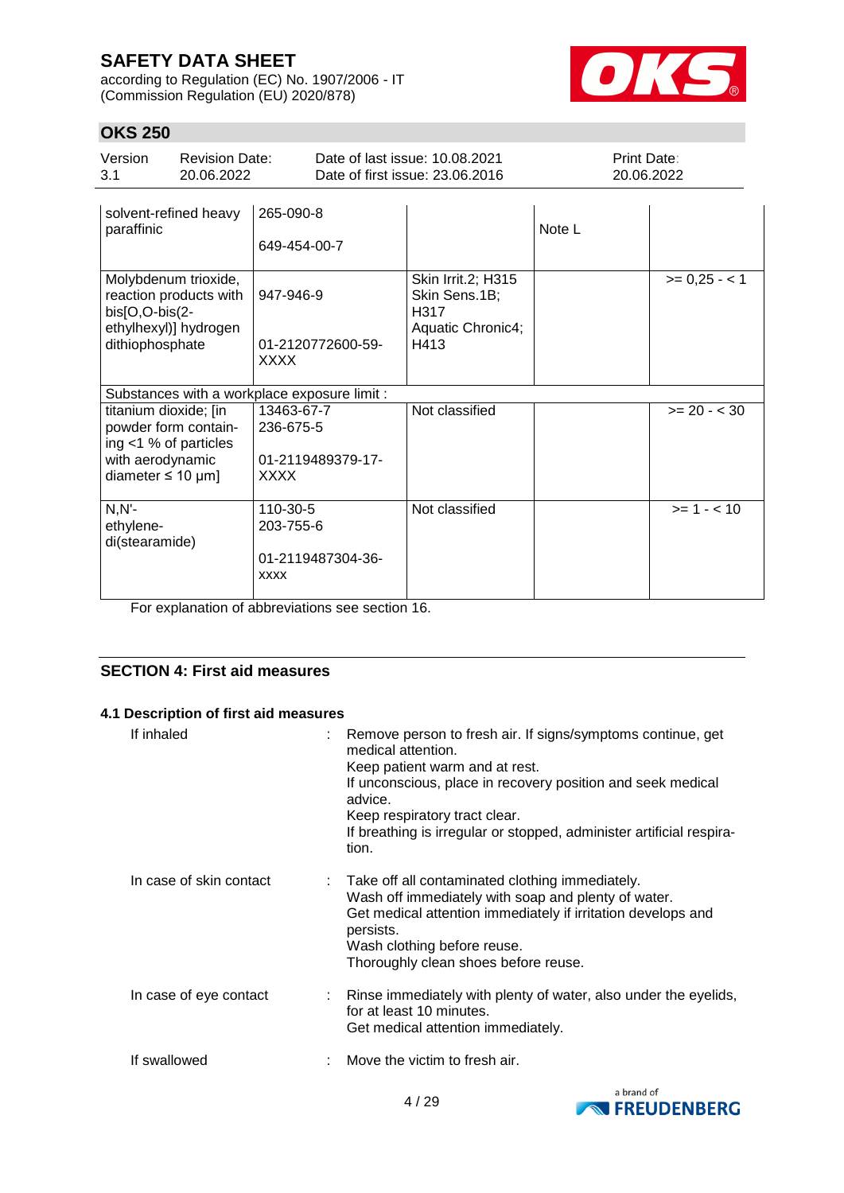according to Regulation (EC) No. 1907/2006 - IT (Commission Regulation (EU) 2020/878)



# **OKS 250**

ethylenedi(stearamide)

| UNJ ZJU                                                                                                                 |                                              |                                                      |                                                                   |                                                                                 |                           |                |
|-------------------------------------------------------------------------------------------------------------------------|----------------------------------------------|------------------------------------------------------|-------------------------------------------------------------------|---------------------------------------------------------------------------------|---------------------------|----------------|
| Version<br>3.1                                                                                                          | <b>Revision Date:</b><br>20.06.2022          |                                                      | Date of last issue: 10.08.2021<br>Date of first issue: 23.06.2016 |                                                                                 | Print Date:<br>20.06.2022 |                |
| paraffinic                                                                                                              | solvent-refined heavy                        | 265-090-8<br>649-454-00-7                            |                                                                   |                                                                                 | Note L                    |                |
| Molybdenum trioxide,<br>reaction products with<br>bis[O,O-bis(2-<br>ethylhexyl)] hydrogen<br>dithiophosphate            |                                              | 947-946-9<br>01-2120772600-59-<br>XXXX               |                                                                   | <b>Skin Irrit.2; H315</b><br>Skin Sens.1B;<br>H317<br>Aquatic Chronic4;<br>H413 |                           | $>= 0,25 - 1$  |
|                                                                                                                         | Substances with a workplace exposure limit : |                                                      |                                                                   |                                                                                 |                           |                |
| titanium dioxide; [in<br>powder form contain-<br>ing $<$ 1 % of particles<br>with aerodynamic<br>diameter $\leq 10$ µm] |                                              | 13463-67-7<br>236-675-5<br>01-2119489379-17-<br>XXXX |                                                                   | Not classified                                                                  |                           | $>= 20 - < 30$ |
| $N.N$ -                                                                                                                 |                                              | 110-30-5                                             |                                                                   | Not classified                                                                  |                           | $>= 1 - < 10$  |

For explanation of abbreviations see section 16.

xxxx

203-755-6

01-2119487304-36-

## **SECTION 4: First aid measures**

### **4.1 Description of first aid measures**

| If inhaled              | : Remove person to fresh air. If signs/symptoms continue, get<br>medical attention.<br>Keep patient warm and at rest.<br>If unconscious, place in recovery position and seek medical<br>advice.<br>Keep respiratory tract clear.<br>If breathing is irregular or stopped, administer artificial respira-<br>tion. |
|-------------------------|-------------------------------------------------------------------------------------------------------------------------------------------------------------------------------------------------------------------------------------------------------------------------------------------------------------------|
| In case of skin contact | Take off all contaminated clothing immediately.<br>Wash off immediately with soap and plenty of water.<br>Get medical attention immediately if irritation develops and<br>persists.<br>Wash clothing before reuse.<br>Thoroughly clean shoes before reuse.                                                        |
| In case of eye contact  | : Rinse immediately with plenty of water, also under the eyelids,<br>for at least 10 minutes.<br>Get medical attention immediately.                                                                                                                                                                               |
| If swallowed            | : Move the victim to fresh air.                                                                                                                                                                                                                                                                                   |

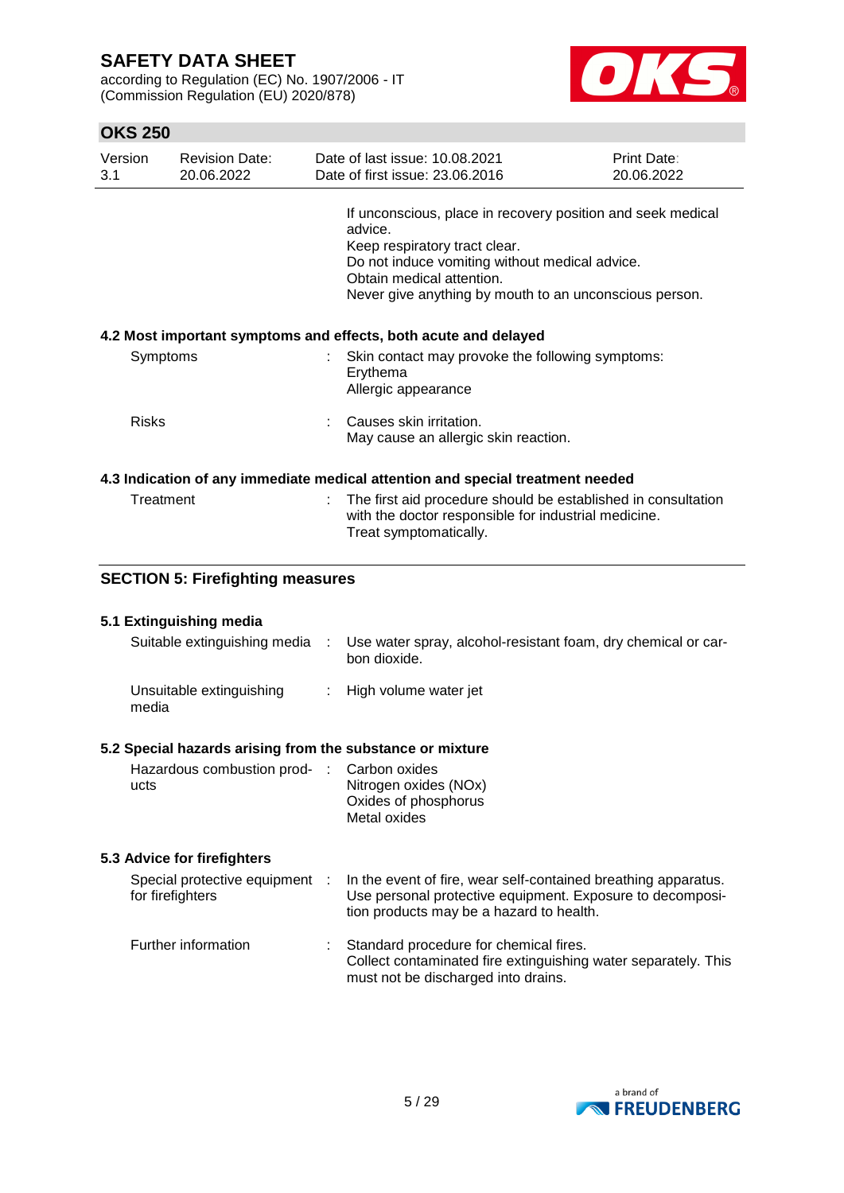according to Regulation (EC) No. 1907/2006 - IT (Commission Regulation (EU) 2020/878)



## **OKS 250**

| Version<br>3.1 |                                                                 | <b>Revision Date:</b><br>20.06.2022     |   | Date of last issue: 10.08.2021<br>Date of first issue: 23,06,2016                                                                                                                                                                                | Print Date:<br>20.06.2022 |  |  |
|----------------|-----------------------------------------------------------------|-----------------------------------------|---|--------------------------------------------------------------------------------------------------------------------------------------------------------------------------------------------------------------------------------------------------|---------------------------|--|--|
|                |                                                                 |                                         |   | If unconscious, place in recovery position and seek medical<br>advice.<br>Keep respiratory tract clear.<br>Do not induce vomiting without medical advice.<br>Obtain medical attention.<br>Never give anything by mouth to an unconscious person. |                           |  |  |
|                | 4.2 Most important symptoms and effects, both acute and delayed |                                         |   |                                                                                                                                                                                                                                                  |                           |  |  |
|                | Symptoms                                                        |                                         |   | Skin contact may provoke the following symptoms:<br>Erythema<br>Allergic appearance                                                                                                                                                              |                           |  |  |
|                | <b>Risks</b>                                                    |                                         |   | Causes skin irritation.<br>May cause an allergic skin reaction.                                                                                                                                                                                  |                           |  |  |
|                |                                                                 |                                         |   | 4.3 Indication of any immediate medical attention and special treatment needed                                                                                                                                                                   |                           |  |  |
|                | Treatment                                                       |                                         |   | The first aid procedure should be established in consultation<br>with the doctor responsible for industrial medicine.<br>Treat symptomatically.                                                                                                  |                           |  |  |
|                |                                                                 | <b>SECTION 5: Firefighting measures</b> |   |                                                                                                                                                                                                                                                  |                           |  |  |
|                |                                                                 |                                         |   |                                                                                                                                                                                                                                                  |                           |  |  |
|                |                                                                 | 5.1 Extinguishing media                 |   |                                                                                                                                                                                                                                                  |                           |  |  |
|                |                                                                 | Suitable extinguishing media            | ÷ | Use water spray, alcohol-resistant foam, dry chemical or car-<br>bon dioxide.                                                                                                                                                                    |                           |  |  |
|                | media                                                           | Unsuitable extinguishing                |   | High volume water jet                                                                                                                                                                                                                            |                           |  |  |

## **5.2 Special hazards arising from the substance or mixture**

| Hazardous combustion prod- : Carbon oxides |                       |
|--------------------------------------------|-----------------------|
| ucts                                       | Nitrogen oxides (NOx) |
|                                            | Oxides of phosphorus  |
|                                            | Metal oxides          |

## **5.3 Advice for firefighters**

| Special protective equipment<br>for firefighters | $\sim$ 100 $\sim$ | In the event of fire, wear self-contained breathing apparatus.<br>Use personal protective equipment. Exposure to decomposi-<br>tion products may be a hazard to health. |
|--------------------------------------------------|-------------------|-------------------------------------------------------------------------------------------------------------------------------------------------------------------------|
| Further information                              | ÷.                | Standard procedure for chemical fires.<br>Collect contaminated fire extinguishing water separately. This<br>must not be discharged into drains.                         |

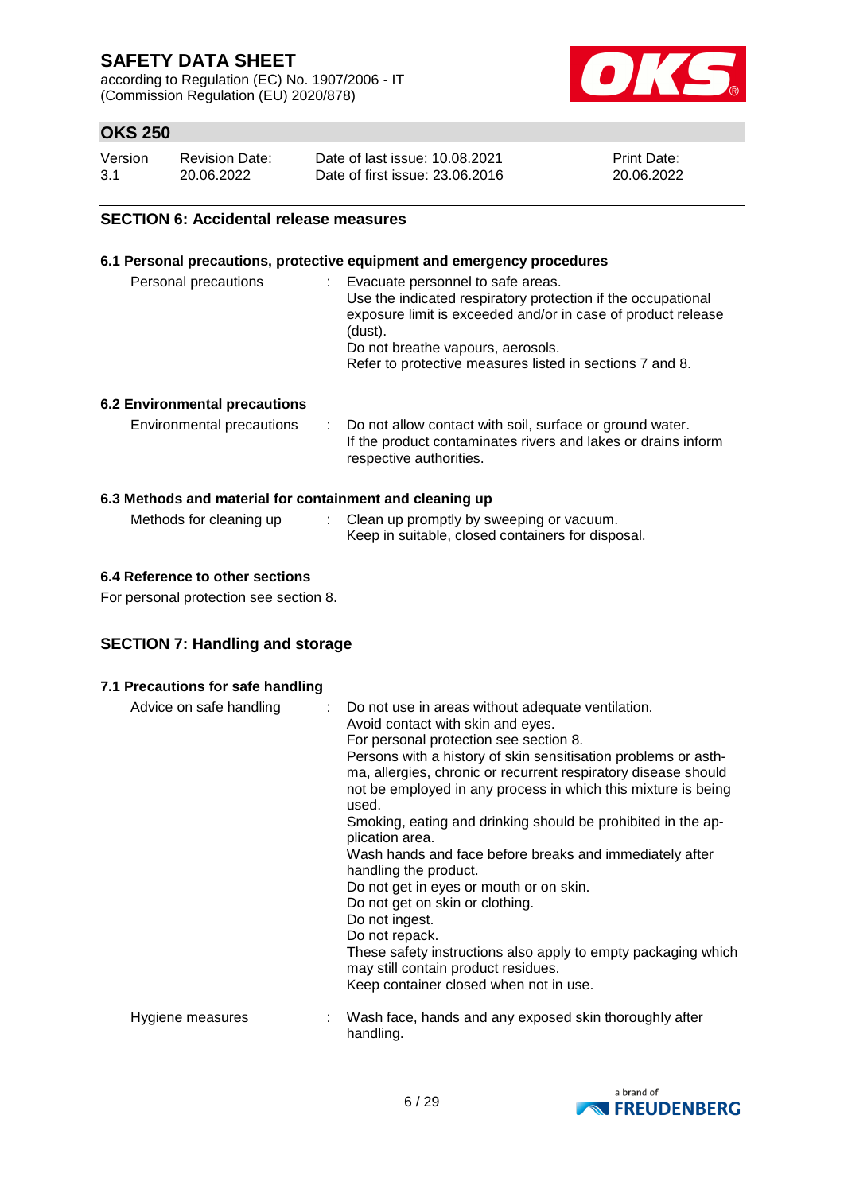according to Regulation (EC) No. 1907/2006 - IT (Commission Regulation (EU) 2020/878)



## **OKS 250**

| Version | <b>Revision Date:</b> | Date of last issue: 10.08.2021  | <b>Print Date:</b> |
|---------|-----------------------|---------------------------------|--------------------|
| 3.1     | 20.06.2022            | Date of first issue: 23.06.2016 | 20.06.2022         |

### **SECTION 6: Accidental release measures**

### **6.1 Personal precautions, protective equipment and emergency procedures**

| Personal precautions          | : Evacuate personnel to safe areas.<br>Use the indicated respiratory protection if the occupational<br>exposure limit is exceeded and/or in case of product release<br>(dust).<br>Do not breathe vapours, aerosols.<br>Refer to protective measures listed in sections 7 and 8. |
|-------------------------------|---------------------------------------------------------------------------------------------------------------------------------------------------------------------------------------------------------------------------------------------------------------------------------|
| 6.2 Environmental precautions |                                                                                                                                                                                                                                                                                 |

# Environmental precautions : Do not allow contact with soil, surface or ground water.

|  | If the product contaminates rivers and lakes or drains inform |
|--|---------------------------------------------------------------|
|  | respective authorities.                                       |

## **6.3 Methods and material for containment and cleaning up**

| Methods for cleaning up | : Clean up promptly by sweeping or vacuum.        |
|-------------------------|---------------------------------------------------|
|                         | Keep in suitable, closed containers for disposal. |

### **6.4 Reference to other sections**

For personal protection see section 8.

# **SECTION 7: Handling and storage**

### **7.1 Precautions for safe handling**

| Advice on safe handling | : Do not use in areas without adequate ventilation.<br>Avoid contact with skin and eyes.<br>For personal protection see section 8.<br>Persons with a history of skin sensitisation problems or asth-<br>ma, allergies, chronic or recurrent respiratory disease should<br>not be employed in any process in which this mixture is being<br>used.<br>Smoking, eating and drinking should be prohibited in the ap-<br>plication area.<br>Wash hands and face before breaks and immediately after<br>handling the product.<br>Do not get in eyes or mouth or on skin.<br>Do not get on skin or clothing.<br>Do not ingest.<br>Do not repack.<br>These safety instructions also apply to empty packaging which<br>may still contain product residues.<br>Keep container closed when not in use. |
|-------------------------|---------------------------------------------------------------------------------------------------------------------------------------------------------------------------------------------------------------------------------------------------------------------------------------------------------------------------------------------------------------------------------------------------------------------------------------------------------------------------------------------------------------------------------------------------------------------------------------------------------------------------------------------------------------------------------------------------------------------------------------------------------------------------------------------|
| Hygiene measures        | Wash face, hands and any exposed skin thoroughly after<br>handling.                                                                                                                                                                                                                                                                                                                                                                                                                                                                                                                                                                                                                                                                                                                         |

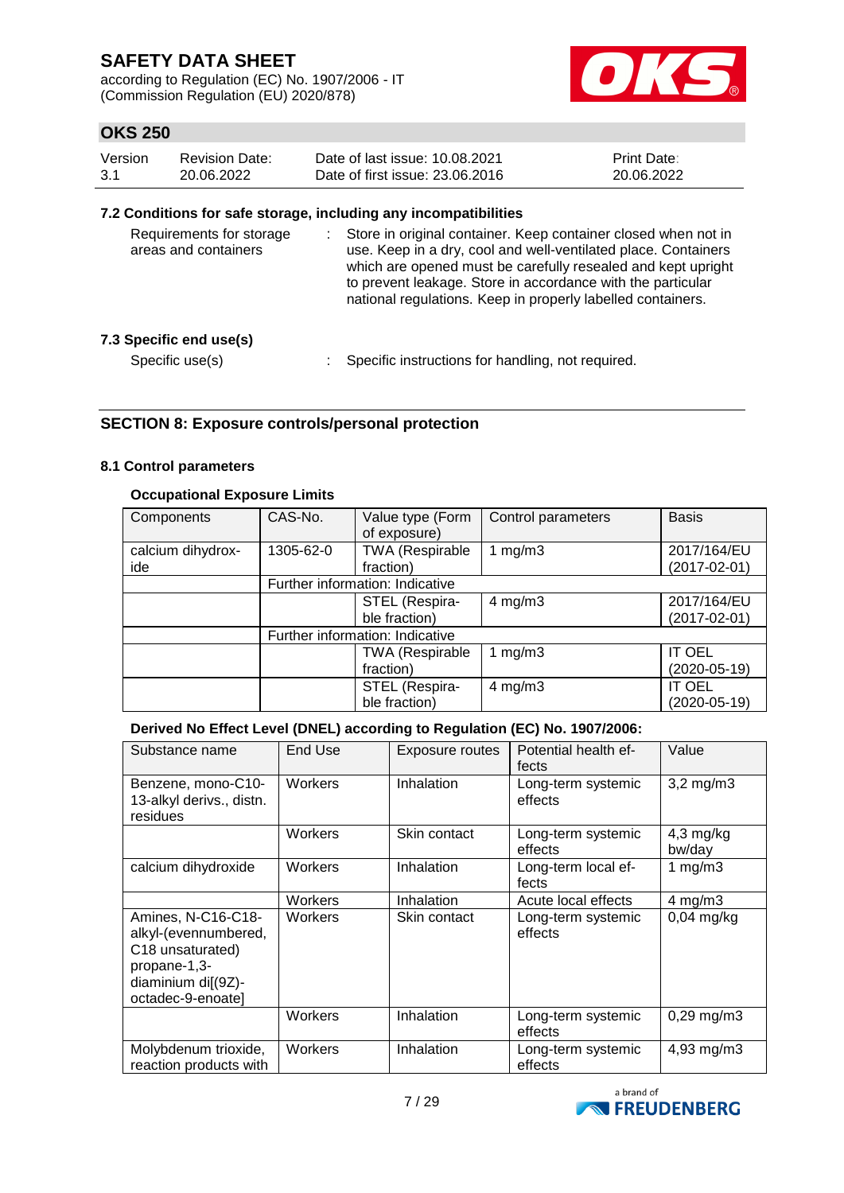according to Regulation (EC) No. 1907/2006 - IT (Commission Regulation (EU) 2020/878)



## **OKS 250**

| Version | Revision Date: | Date of last issue: 10.08.2021  | <b>Print Date:</b> |
|---------|----------------|---------------------------------|--------------------|
| 3.1     | 20.06.2022     | Date of first issue: 23.06.2016 | 20.06.2022         |

### **7.2 Conditions for safe storage, including any incompatibilities**

| Requirements for storage<br>areas and containers | Store in original container. Keep container closed when not in<br>use. Keep in a dry, cool and well-ventilated place. Containers<br>which are opened must be carefully resealed and kept upright<br>to prevent leakage. Store in accordance with the particular<br>national regulations. Keep in properly labelled containers. |
|--------------------------------------------------|--------------------------------------------------------------------------------------------------------------------------------------------------------------------------------------------------------------------------------------------------------------------------------------------------------------------------------|
| 7.3 Specific end use(s)                          |                                                                                                                                                                                                                                                                                                                                |
| Specific use(s)                                  | Specific instructions for handling, not required.                                                                                                                                                                                                                                                                              |

## **SECTION 8: Exposure controls/personal protection**

### **8.1 Control parameters**

### **Occupational Exposure Limits**

| Components        | CAS-No.   | Value type (Form<br>of exposure) | Control parameters | <b>Basis</b>  |
|-------------------|-----------|----------------------------------|--------------------|---------------|
| calcium dihydrox- | 1305-62-0 | <b>TWA (Respirable</b>           | 1 $mg/m3$          | 2017/164/EU   |
| ide               |           | fraction)                        |                    | (2017-02-01)  |
|                   |           | Further information: Indicative  |                    |               |
|                   |           | STEL (Respira-                   | $4$ mg/m $3$       | 2017/164/EU   |
|                   |           | ble fraction)                    |                    | (2017-02-01)  |
|                   |           | Further information: Indicative  |                    |               |
|                   |           | <b>TWA (Respirable</b>           | 1 $mg/m3$          | <b>IT OEL</b> |
|                   |           | fraction)                        |                    | (2020-05-19)  |
|                   |           | STEL (Respira-                   | $4$ mg/m $3$       | IT OEL        |
|                   |           | ble fraction)                    |                    | (2020-05-19)  |

## **Derived No Effect Level (DNEL) according to Regulation (EC) No. 1907/2006:**

| Substance name                                                                                                                        | End Use | Exposure routes | Potential health ef-<br>fects | Value                 |
|---------------------------------------------------------------------------------------------------------------------------------------|---------|-----------------|-------------------------------|-----------------------|
| Benzene, mono-C10-<br>13-alkyl derivs., distn.<br>residues                                                                            | Workers | Inhalation      | Long-term systemic<br>effects | $3,2$ mg/m $3$        |
|                                                                                                                                       | Workers | Skin contact    | Long-term systemic<br>effects | $4,3$ mg/kg<br>bw/day |
| calcium dihydroxide                                                                                                                   | Workers | Inhalation      | Long-term local ef-<br>fects  | 1 $mg/m3$             |
|                                                                                                                                       | Workers | Inhalation      | Acute local effects           | $4$ mg/m $3$          |
| Amines, N-C16-C18-<br>alkyl-(evennumbered,<br>C <sub>18</sub> unsaturated)<br>propane-1,3-<br>diaminium di[(9Z)-<br>octadec-9-enoate] | Workers | Skin contact    | Long-term systemic<br>effects | $0,04$ mg/kg          |
|                                                                                                                                       | Workers | Inhalation      | Long-term systemic<br>effects | $0,29$ mg/m $3$       |
| Molybdenum trioxide,<br>reaction products with                                                                                        | Workers | Inhalation      | Long-term systemic<br>effects | 4,93 mg/m3            |

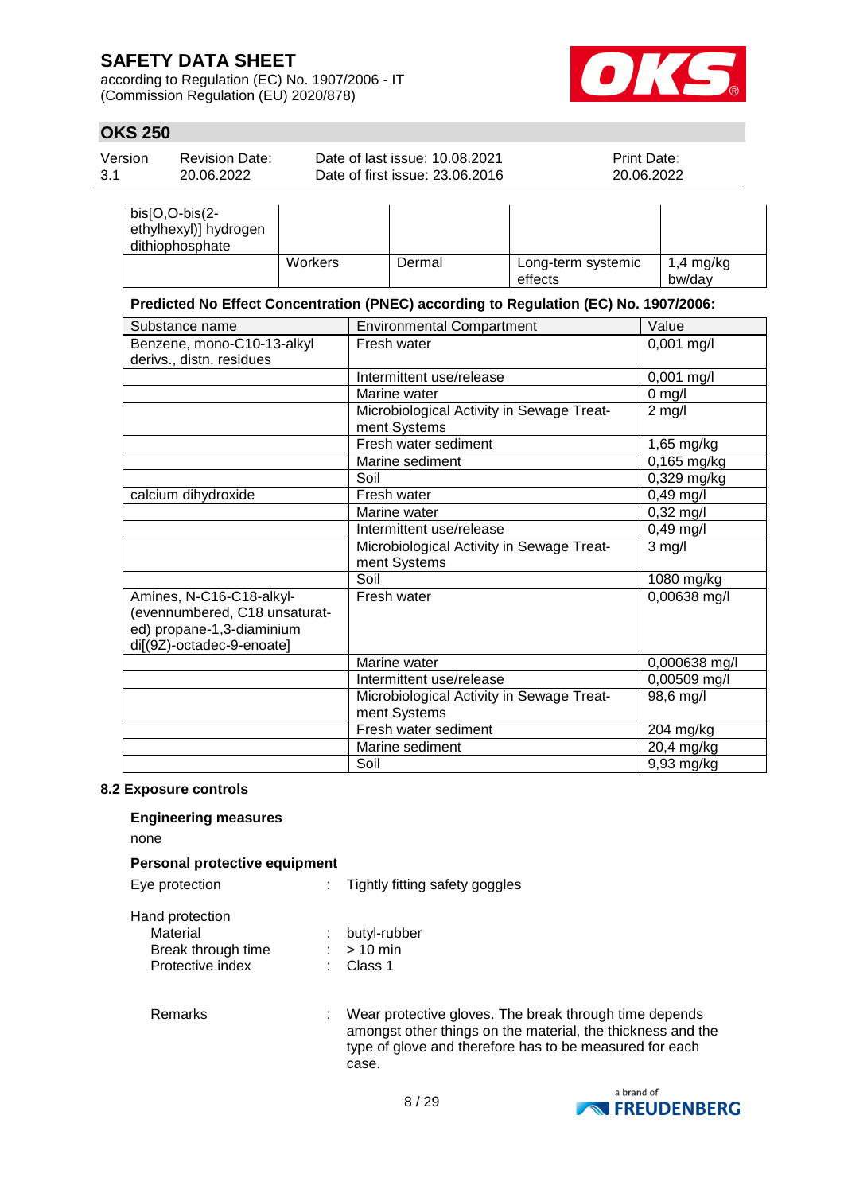according to Regulation (EC) No. 1907/2006 - IT (Commission Regulation (EU) 2020/878)



## **OKS 250**

| Version | <b>Revision Date:</b> | Date of last issue: 10.08.2021  | <b>Print Date:</b> |
|---------|-----------------------|---------------------------------|--------------------|
| 3.1     | 20.06.2022            | Date of first issue: 23,06,2016 | 20.06.2022         |
|         |                       |                                 |                    |

| $bis[O,O-bis(2-$<br>ethylhexyl)] hydrogen<br>dithiophosphate |                |        |                               |                     |
|--------------------------------------------------------------|----------------|--------|-------------------------------|---------------------|
|                                                              | <b>Workers</b> | Dermal | Long-term systemic<br>effects | 1,4 mg/kg<br>bw/dav |

## **Predicted No Effect Concentration (PNEC) according to Regulation (EC) No. 1907/2006:**

| Substance name                | <b>Environmental Compartment</b>                          | Value         |
|-------------------------------|-----------------------------------------------------------|---------------|
| Benzene, mono-C10-13-alkyl    | Fresh water                                               | $0,001$ mg/l  |
| derivs., distn. residues      |                                                           |               |
|                               | Intermittent use/release                                  | $0,001$ mg/l  |
|                               | Marine water                                              | $0$ mg/l      |
|                               | Microbiological Activity in Sewage Treat-<br>ment Systems | $2$ mg/l      |
|                               | Fresh water sediment                                      | 1,65 mg/kg    |
|                               | Marine sediment                                           | 0,165 mg/kg   |
|                               | Soil                                                      | $0,329$ mg/kg |
| calcium dihydroxide           | Fresh water                                               | $0,49$ mg/l   |
|                               | Marine water                                              | $0,32$ mg/l   |
|                               | Intermittent use/release                                  | 0,49 mg/l     |
|                               | Microbiological Activity in Sewage Treat-                 | $3$ mg/l      |
|                               | ment Systems                                              |               |
|                               | Soil                                                      | 1080 mg/kg    |
| Amines, N-C16-C18-alkyl-      | Fresh water                                               | 0,00638 mg/l  |
| (evennumbered, C18 unsaturat- |                                                           |               |
| ed) propane-1,3-diaminium     |                                                           |               |
| di[(9Z)-octadec-9-enoate]     |                                                           |               |
|                               | Marine water                                              | 0,000638 mg/l |
|                               | Intermittent use/release                                  | 0,00509 mg/l  |
|                               | Microbiological Activity in Sewage Treat-                 | 98,6 mg/l     |
|                               | ment Systems                                              |               |
|                               | Fresh water sediment                                      | 204 mg/kg     |
|                               | Marine sediment                                           | 20,4 mg/kg    |
|                               | Soil                                                      | 9,93 mg/kg    |

### **8.2 Exposure controls**

### **Engineering measures**

none

#### **Personal protective equipment**

| Eye protection  | Tightly fitting safety goggles |
|-----------------|--------------------------------|
| Hand protection |                                |

Hand protection

| Material           | butyl-rubber |
|--------------------|--------------|
| Break through time | $:$ > 10 min |
| Protective index   | : Class 1    |

Remarks : Wear protective gloves. The break through time depends amongst other things on the material, the thickness and the type of glove and therefore has to be measured for each case.

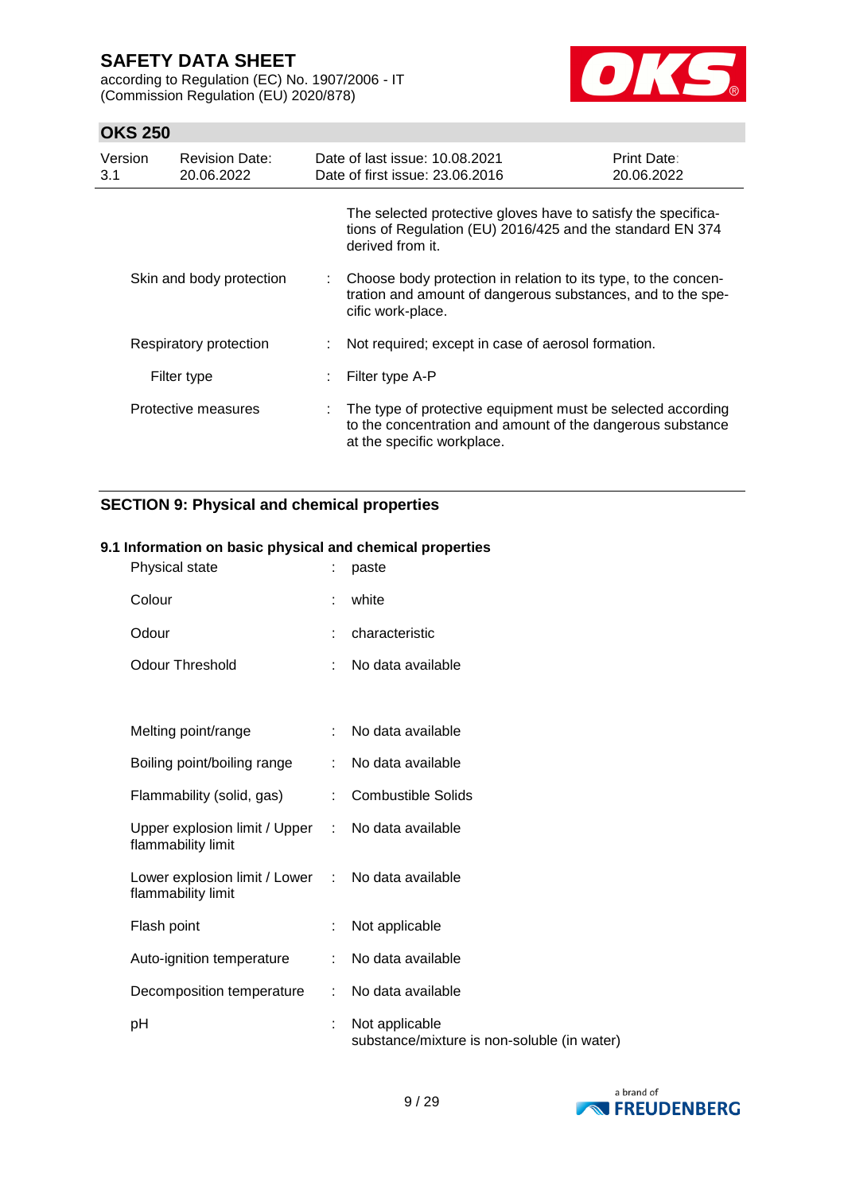according to Regulation (EC) No. 1907/2006 - IT (Commission Regulation (EU) 2020/878)



## **OKS 250**

| Version<br>3.1 | <b>Revision Date:</b><br>20.06.2022 | Date of last issue: 10.08.2021<br>Date of first issue: 23.06.2016                                                                                       | <b>Print Date:</b><br>20.06.2022 |
|----------------|-------------------------------------|---------------------------------------------------------------------------------------------------------------------------------------------------------|----------------------------------|
|                |                                     | The selected protective gloves have to satisfy the specifica-<br>tions of Regulation (EU) 2016/425 and the standard EN 374<br>derived from it.          |                                  |
|                | Skin and body protection            | : Choose body protection in relation to its type, to the concen-<br>tration and amount of dangerous substances, and to the spe-<br>cific work-place.    |                                  |
|                | Respiratory protection              | Not required; except in case of aerosol formation.                                                                                                      |                                  |
|                | Filter type                         | Filter type A-P                                                                                                                                         |                                  |
|                | Protective measures                 | The type of protective equipment must be selected according<br>to the concentration and amount of the dangerous substance<br>at the specific workplace. |                                  |

## **SECTION 9: Physical and chemical properties**

### **9.1 Information on basic physical and chemical properties**

| Physical state                                        | ÷ | paste                                                         |
|-------------------------------------------------------|---|---------------------------------------------------------------|
| Colour                                                | ÷ | white                                                         |
| Odour                                                 |   | characteristic                                                |
| <b>Odour Threshold</b>                                | ÷ | No data available                                             |
|                                                       |   |                                                               |
| Melting point/range                                   |   | No data available                                             |
| Boiling point/boiling range                           |   | No data available                                             |
| Flammability (solid, gas)                             |   | <b>Combustible Solids</b>                                     |
| Upper explosion limit / Upper :<br>flammability limit |   | No data available                                             |
| Lower explosion limit / Lower<br>flammability limit   |   | : No data available                                           |
| Flash point                                           |   | Not applicable                                                |
| Auto-ignition temperature                             |   | No data available                                             |
| Decomposition temperature                             | ÷ | No data available                                             |
| рH                                                    | t | Not applicable<br>substance/mixture is non-soluble (in water) |

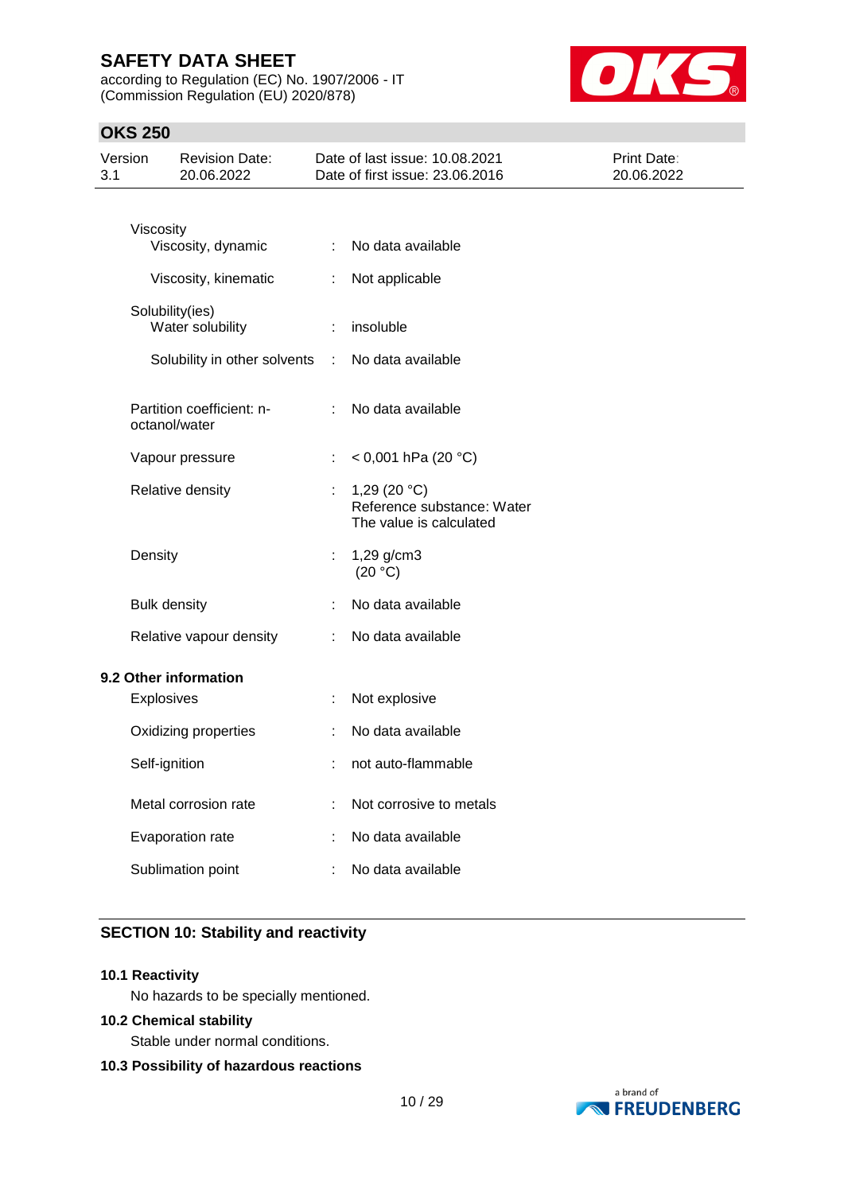according to Regulation (EC) No. 1907/2006 - IT (Commission Regulation (EU) 2020/878)



## **OKS 250**

| Version<br>3.1 |                   | <b>Revision Date:</b><br>20.06.2022        |    | Date of last issue: 10.08.2021<br>Date of first issue: 23.06.2016       | Print Date:<br>20.06.2022 |
|----------------|-------------------|--------------------------------------------|----|-------------------------------------------------------------------------|---------------------------|
|                | Viscosity         |                                            |    |                                                                         |                           |
|                |                   | Viscosity, dynamic                         | ÷  | No data available                                                       |                           |
|                |                   | Viscosity, kinematic                       | ÷  | Not applicable                                                          |                           |
|                |                   | Solubility(ies)<br>Water solubility        | ÷  | insoluble                                                               |                           |
|                |                   | Solubility in other solvents               | ÷  | No data available                                                       |                           |
|                |                   | Partition coefficient: n-<br>octanol/water | t. | No data available                                                       |                           |
|                |                   | Vapour pressure                            | ÷  | < 0,001 hPa (20 °C)                                                     |                           |
|                |                   | Relative density                           | t  | 1,29 $(20 °C)$<br>Reference substance: Water<br>The value is calculated |                           |
|                | Density           |                                            | ÷  | 1,29 g/cm3<br>(20 °C)                                                   |                           |
|                |                   | <b>Bulk density</b>                        |    | No data available                                                       |                           |
|                |                   | Relative vapour density                    | ÷  | No data available                                                       |                           |
|                |                   | 9.2 Other information                      |    |                                                                         |                           |
|                | <b>Explosives</b> |                                            | ÷  | Not explosive                                                           |                           |
|                |                   | Oxidizing properties                       |    | No data available                                                       |                           |
|                | Self-ignition     |                                            |    | not auto-flammable                                                      |                           |
|                |                   | Metal corrosion rate                       |    | Not corrosive to metals                                                 |                           |
|                |                   | Evaporation rate                           |    | No data available                                                       |                           |
|                |                   | Sublimation point                          |    | No data available                                                       |                           |

## **SECTION 10: Stability and reactivity**

#### **10.1 Reactivity**

No hazards to be specially mentioned.

### **10.2 Chemical stability**

Stable under normal conditions.

## **10.3 Possibility of hazardous reactions**

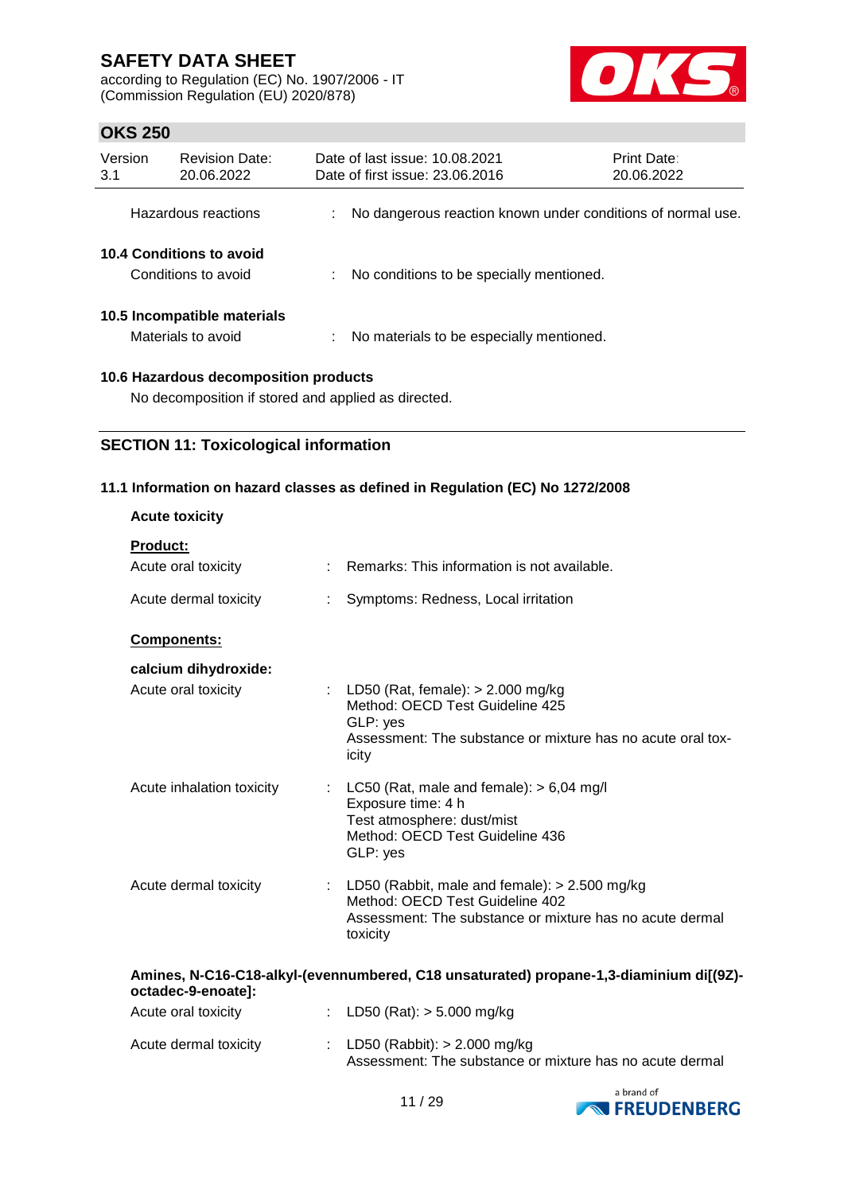according to Regulation (EC) No. 1907/2006 - IT (Commission Regulation (EU) 2020/878)



## **OKS 250**

| Version<br>3.1 | <b>Revision Date:</b><br>20.06.2022               | Date of last issue: 10.08.2021<br>Date of first issue: 23.06.2016 |                                                             | <b>Print Date:</b><br>20.06.2022 |
|----------------|---------------------------------------------------|-------------------------------------------------------------------|-------------------------------------------------------------|----------------------------------|
|                | Hazardous reactions                               |                                                                   | No dangerous reaction known under conditions of normal use. |                                  |
|                | 10.4 Conditions to avoid<br>Conditions to avoid   |                                                                   | No conditions to be specially mentioned.                    |                                  |
|                | 10.5 Incompatible materials<br>Materials to avoid |                                                                   | No materials to be especially mentioned.                    |                                  |
|                | 10.6 Hazardous decomposition products             |                                                                   |                                                             |                                  |

No decomposition if stored and applied as directed.

## **SECTION 11: Toxicological information**

### **11.1 Information on hazard classes as defined in Regulation (EC) No 1272/2008**

| <b>Acute toxicity</b>                  |   |                                                                                                                                                              |
|----------------------------------------|---|--------------------------------------------------------------------------------------------------------------------------------------------------------------|
| <b>Product:</b><br>Acute oral toxicity |   | Remarks: This information is not available.                                                                                                                  |
| Acute dermal toxicity                  |   | Symptoms: Redness, Local irritation                                                                                                                          |
| Components:                            |   |                                                                                                                                                              |
| calcium dihydroxide:                   |   |                                                                                                                                                              |
| Acute oral toxicity                    |   | : LD50 (Rat, female): $> 2.000$ mg/kg<br>Method: OECD Test Guideline 425<br>GLP: yes<br>Assessment: The substance or mixture has no acute oral tox-<br>icity |
| Acute inhalation toxicity              | ÷ | LC50 (Rat, male and female): $> 6,04$ mg/l<br>Exposure time: 4 h<br>Test atmosphere: dust/mist<br>Method: OECD Test Guideline 436<br>GLP: yes                |
| Acute dermal toxicity                  |   | : LD50 (Rabbit, male and female): $> 2.500$ mg/kg<br>Method: OECD Test Guideline 402<br>Assessment: The substance or mixture has no acute dermal<br>toxicity |
| octadec-9-enoate]:                     |   | Amines, N-C16-C18-alkyl-(evennumbered, C18 unsaturated) propane-1,3-diaminium di[(9Z)-                                                                       |

| Acute oral toxicity   | : LD50 (Rat): $>$ 5.000 mg/kg                                                                |
|-----------------------|----------------------------------------------------------------------------------------------|
| Acute dermal toxicity | : LD50 (Rabbit): $> 2.000$ mg/kg<br>Assessment: The substance or mixture has no acute dermal |

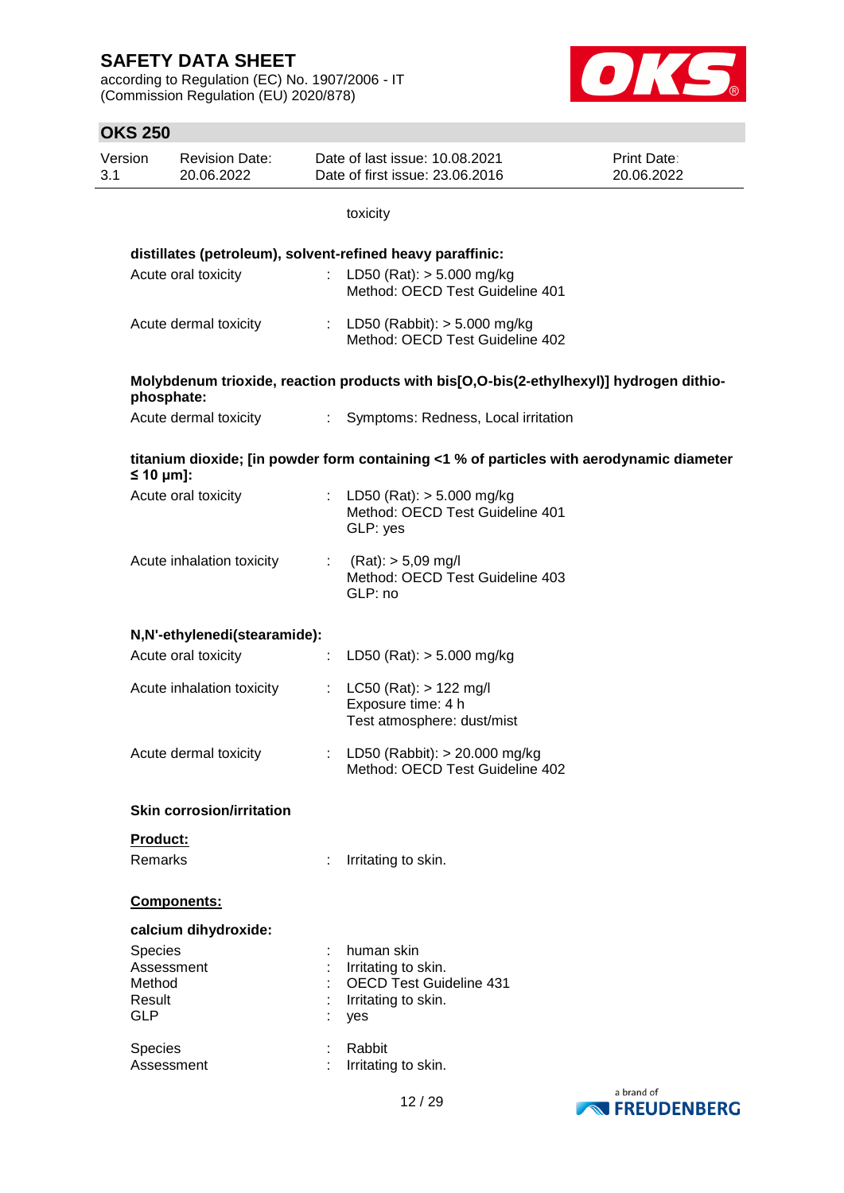according to Regulation (EC) No. 1907/2006 - IT (Commission Regulation (EU) 2020/878)



| Version<br>3.1 | <b>Revision Date:</b><br>20.06.2022 | Date of last issue: 10.08.2021<br>Date of first issue: 23.06.2016                        | <b>Print Date:</b><br>20.06.2022 |
|----------------|-------------------------------------|------------------------------------------------------------------------------------------|----------------------------------|
|                |                                     | toxicity                                                                                 |                                  |
|                |                                     | distillates (petroleum), solvent-refined heavy paraffinic:                               |                                  |
|                | Acute oral toxicity                 | : LD50 (Rat): $> 5.000$ mg/kg<br>Method: OECD Test Guideline 401                         |                                  |
|                | Acute dermal toxicity               | : LD50 (Rabbit): $> 5.000$ mg/kg<br>Method: OECD Test Guideline 402                      |                                  |
|                | phosphate:                          | Molybdenum trioxide, reaction products with bis[O,O-bis(2-ethylhexyl)] hydrogen dithio-  |                                  |
|                | Acute dermal toxicity               | : Symptoms: Redness, Local irritation                                                    |                                  |
|                | $\leq 10$ µm]:                      | titanium dioxide; [in powder form containing <1 % of particles with aerodynamic diameter |                                  |
|                | Acute oral toxicity                 | : LD50 (Rat): $> 5.000$ mg/kg<br>Method: OECD Test Guideline 401<br>GLP: yes             |                                  |
|                | Acute inhalation toxicity           | : $(Rat):$ > 5,09 mg/l<br>Method: OECD Test Guideline 403<br>GLP: no                     |                                  |
|                | N,N'-ethylenedi(stearamide):        |                                                                                          |                                  |
|                | Acute oral toxicity                 | : LD50 (Rat): $>$ 5.000 mg/kg                                                            |                                  |
|                | Acute inhalation toxicity           | : LC50 (Rat): $> 122$ mg/l<br>Exposure time: 4 h<br>Test atmosphere: dust/mist           |                                  |
|                | Acute dermal toxicity               | : LD50 (Rabbit): $> 20.000$ mg/kg<br>Method: OECD Test Guideline 402                     |                                  |
|                | <b>Skin corrosion/irritation</b>    |                                                                                          |                                  |
|                | Product:                            |                                                                                          |                                  |
|                | <b>Remarks</b>                      | Irritating to skin.                                                                      |                                  |
|                | Components:                         |                                                                                          |                                  |
|                | calcium dihydroxide:                |                                                                                          |                                  |
| Species        |                                     | human skin                                                                               |                                  |
| Method         | Assessment                          | Irritating to skin.<br><b>OECD Test Guideline 431</b>                                    |                                  |
| Result         |                                     | Irritating to skin.                                                                      |                                  |
| <b>GLP</b>     |                                     | yes                                                                                      |                                  |
| Species        |                                     | Rabbit                                                                                   |                                  |
|                | Assessment                          | Irritating to skin.                                                                      |                                  |

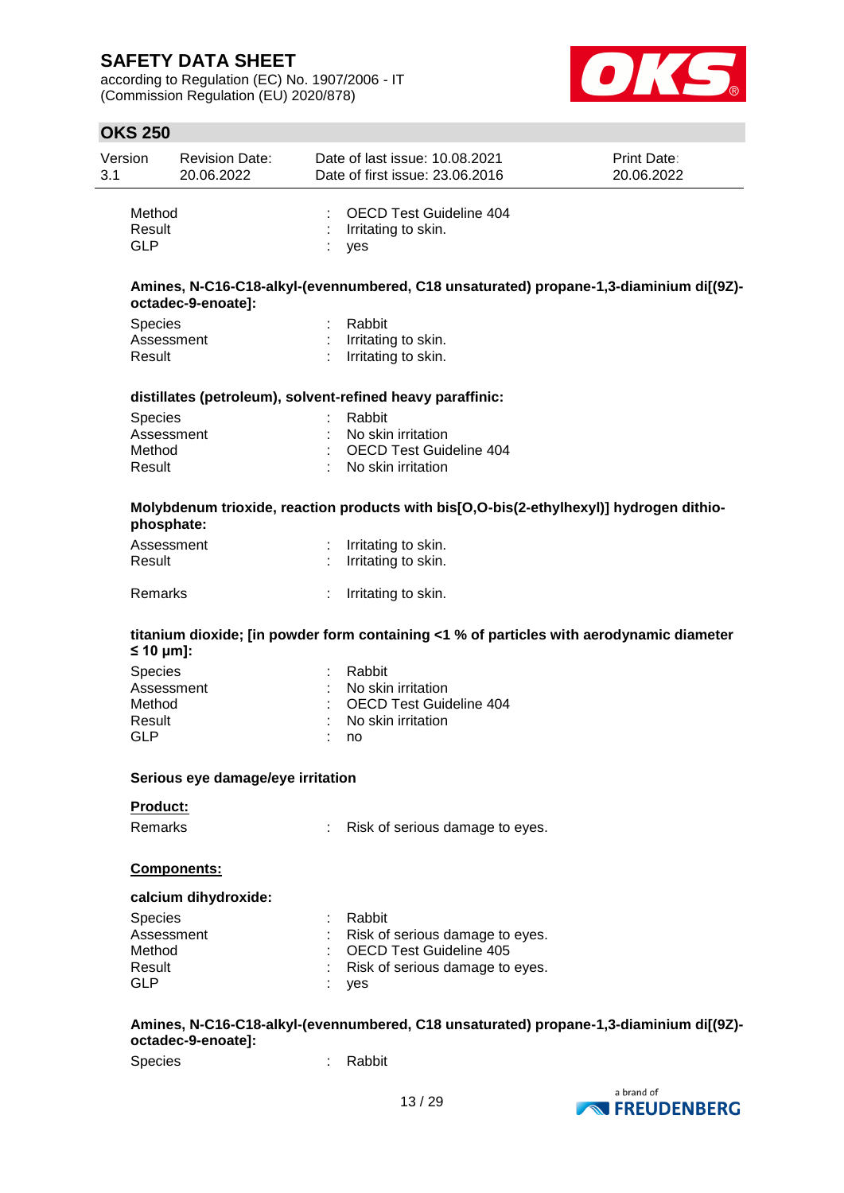according to Regulation (EC) No. 1907/2006 - IT (Commission Regulation (EU) 2020/878)



## **OKS 250**

| Version | <b>Revision Date:</b> | Date of last issue: 10.08.2021  | <b>Print Date:</b> |
|---------|-----------------------|---------------------------------|--------------------|
| 3.1     | 20.06.2022            | Date of first issue: 23.06.2016 | 20.06.2022         |
| Method  |                       | : OECD Test Guideline 404       |                    |

|                    | Amines, N-C16-C18-alkyl-(evennumbered, C18 unsaturated) propane-1,3-diaminium di[(9Z)- |  |
|--------------------|----------------------------------------------------------------------------------------|--|
| octadec-9-enoate]: |                                                                                        |  |

| <b>Species</b> | : Rabbit              |
|----------------|-----------------------|
| Assessment     | : Irritating to skin. |
| Result         | : Irritating to skin. |

Result : Irritating to skin.<br>GLP : ves

#### **distillates (petroleum), solvent-refined heavy paraffinic:**

: yes

| <b>Species</b> | : Rabbit                         |
|----------------|----------------------------------|
| Assessment     | $\therefore$ No skin irritation. |
| Method         | : OECD Test Guideline 404        |
| Result         | : No skin irritation             |

### **Molybdenum trioxide, reaction products with bis[O,O-bis(2-ethylhexyl)] hydrogen dithiophosphate:**

| Assessment<br>Result | : Irritating to skin.<br>$\therefore$ Irritating to skin. |
|----------------------|-----------------------------------------------------------|
| Remarks              | : Irritating to skin.                                     |

### **titanium dioxide; [in powder form containing <1 % of particles with aerodynamic diameter ≤ 10 μm]:**

| : Rabbit                  |
|---------------------------|
| : No skin irritation      |
| : OECD Test Guideline 404 |
| : No skin irritation      |
| no                        |
|                           |

#### **Serious eye damage/eye irritation**

#### **Product:**

Remarks : Risk of serious damage to eyes.

#### **Components:**

#### **calcium dihydroxide:**

| <b>Species</b> | : Rabbit                          |
|----------------|-----------------------------------|
| Assessment     | : Risk of serious damage to eyes. |
| Method         | : OECD Test Guideline 405         |
| Result         | : Risk of serious damage to eyes. |
| GLP            | : yes                             |

### **Amines, N-C16-C18-alkyl-(evennumbered, C18 unsaturated) propane-1,3-diaminium di[(9Z) octadec-9-enoate]:**

Species : Rabbit

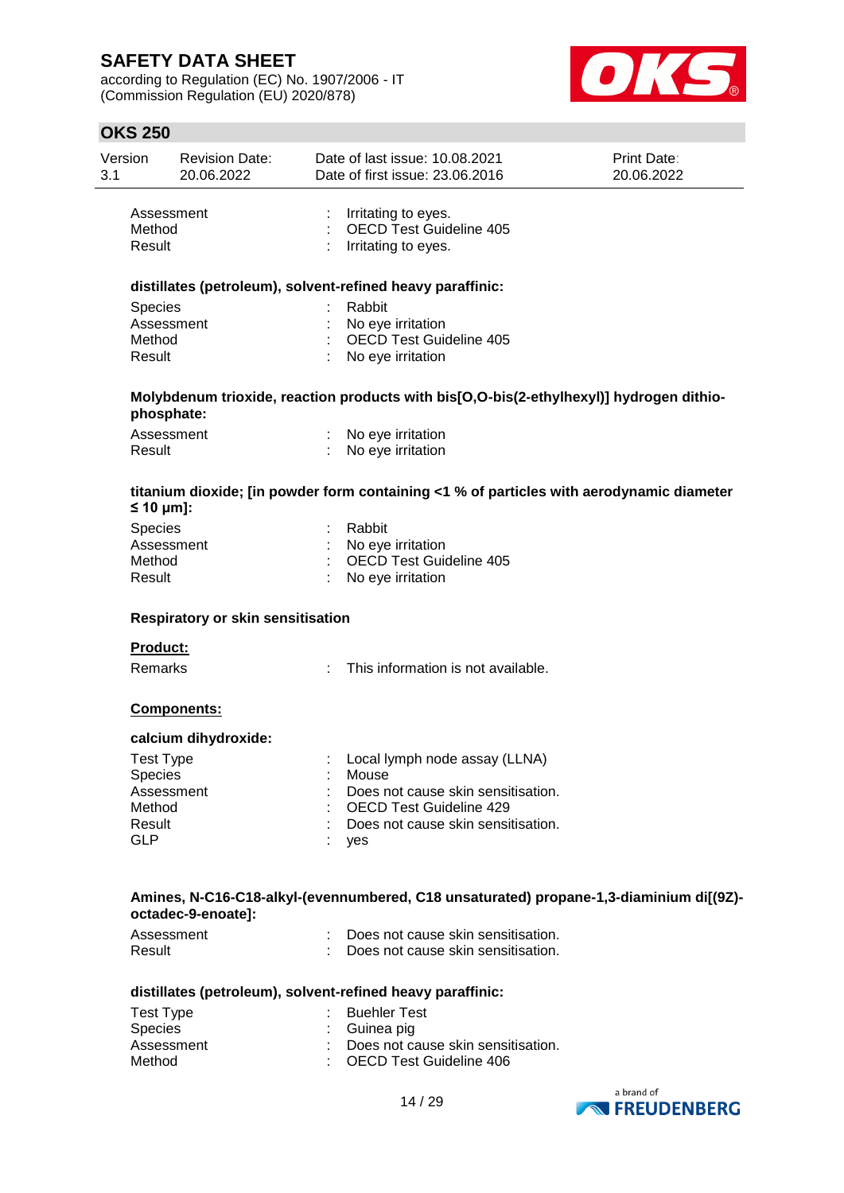according to Regulation (EC) No. 1907/2006 - IT (Commission Regulation (EU) 2020/878)



## **OKS 250**

|                | <b>OKS 250</b>                           |                                     |                                                                                          |                           |
|----------------|------------------------------------------|-------------------------------------|------------------------------------------------------------------------------------------|---------------------------|
| Version<br>3.1 |                                          | <b>Revision Date:</b><br>20.06.2022 | Date of last issue: 10.08.2021<br>Date of first issue: 23.06.2016                        | Print Date:<br>20.06.2022 |
|                | Assessment<br>Method<br>Result           |                                     | Irritating to eyes.<br>OECD Test Guideline 405<br>Irritating to eyes.                    |                           |
|                |                                          |                                     | distillates (petroleum), solvent-refined heavy paraffinic:                               |                           |
|                | Species                                  |                                     | Rabbit                                                                                   |                           |
|                | Assessment                               |                                     | No eye irritation                                                                        |                           |
|                | Method                                   |                                     | <b>OECD Test Guideline 405</b>                                                           |                           |
|                | Result                                   |                                     | No eye irritation                                                                        |                           |
|                | phosphate:                               |                                     | Molybdenum trioxide, reaction products with bis[O,O-bis(2-ethylhexyl)] hydrogen dithio-  |                           |
|                | Assessment                               |                                     | No eye irritation                                                                        |                           |
|                | Result                                   |                                     | No eye irritation                                                                        |                           |
|                | $\leq 10$ µm]:                           |                                     | titanium dioxide; [in powder form containing <1 % of particles with aerodynamic diameter |                           |
|                | Species                                  |                                     | Rabbit                                                                                   |                           |
|                | Assessment                               |                                     | No eye irritation                                                                        |                           |
|                | Method                                   |                                     | OECD Test Guideline 405                                                                  |                           |
|                | Result                                   |                                     | No eye irritation                                                                        |                           |
|                | <b>Respiratory or skin sensitisation</b> |                                     |                                                                                          |                           |
|                | <b>Product:</b>                          |                                     |                                                                                          |                           |
|                | Remarks                                  |                                     | This information is not available.                                                       |                           |
|                |                                          | Components:                         |                                                                                          |                           |
|                |                                          | calcium dihydroxide:                |                                                                                          |                           |
|                | <b>Test Type</b>                         |                                     | Local lymph node assay (LLNA)                                                            |                           |
|                | <b>Species</b>                           |                                     | Mouse                                                                                    |                           |
|                | Assessment                               |                                     | Does not cause skin sensitisation.                                                       |                           |
|                | Method                                   |                                     | <b>OECD Test Guideline 429</b>                                                           |                           |
|                | Result                                   |                                     | Does not cause skin sensitisation.                                                       |                           |
|                | GLP                                      |                                     | yes                                                                                      |                           |

### **Amines, N-C16-C18-alkyl-(evennumbered, C18 unsaturated) propane-1,3-diaminium di[(9Z) octadec-9-enoate]:**

| Assessment | Does not cause skin sensitisation. |
|------------|------------------------------------|
| Result     | Does not cause skin sensitisation. |

### **distillates (petroleum), solvent-refined heavy paraffinic:**

| Test Type      | : Buehler Test                       |
|----------------|--------------------------------------|
| <b>Species</b> | : Guinea pig                         |
| Assessment     | : Does not cause skin sensitisation. |
| Method         | : OECD Test Guideline 406            |

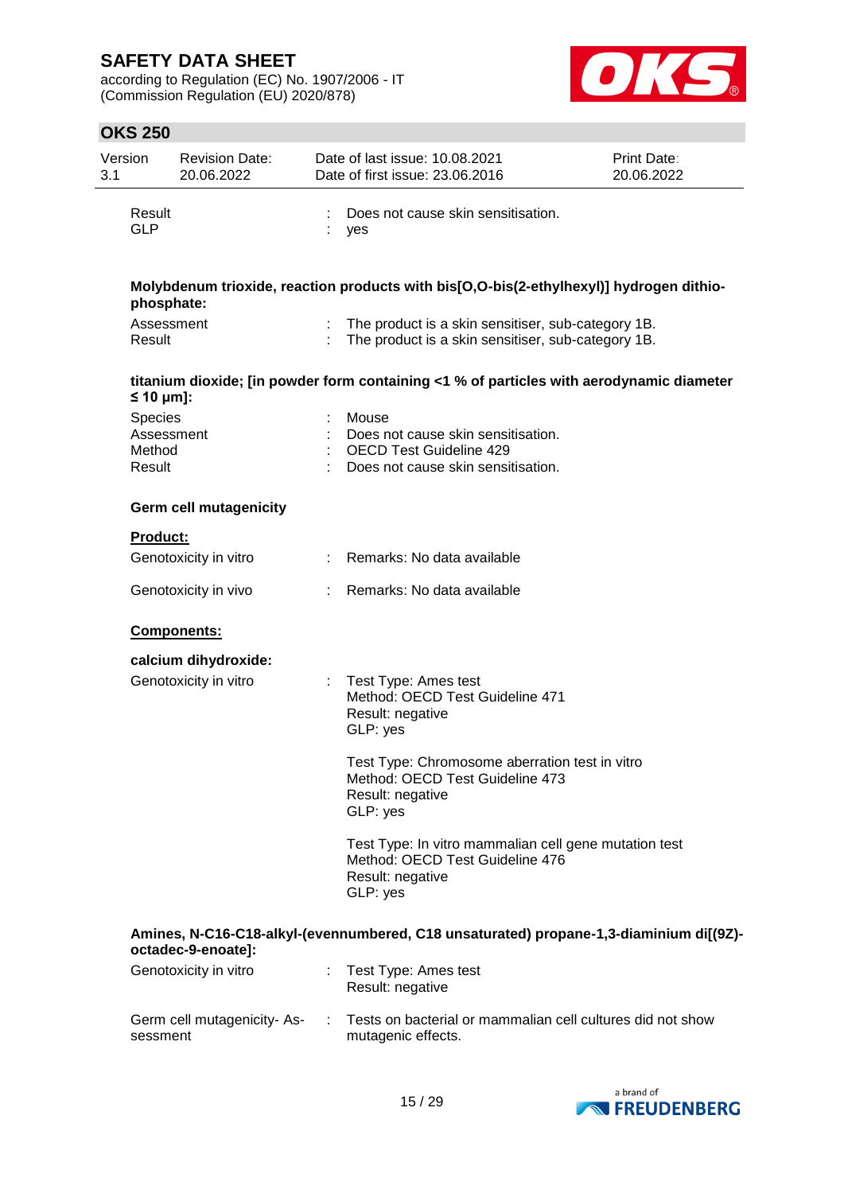according to Regulation (EC) No. 1907/2006 - IT (Commission Regulation (EU) 2020/878)



| Version<br>3.1 |                                           | <b>Revision Date:</b><br>20.06.2022 | Date of last issue: 10.08.2021<br>Date of first issue: 23.06.2016                                                        | Print Date:<br>20.06.2022 |
|----------------|-------------------------------------------|-------------------------------------|--------------------------------------------------------------------------------------------------------------------------|---------------------------|
|                | Result<br><b>GLP</b>                      |                                     | Does not cause skin sensitisation.<br>yes                                                                                |                           |
|                | phosphate:                                |                                     | Molybdenum trioxide, reaction products with bis[O,O-bis(2-ethylhexyl)] hydrogen dithio-                                  |                           |
|                | Assessment<br>Result                      |                                     | The product is a skin sensitiser, sub-category 1B.<br>The product is a skin sensitiser, sub-category 1B.                 |                           |
|                | $\leq 10$ µm]:                            |                                     | titanium dioxide; [in powder form containing <1 % of particles with aerodynamic diameter                                 |                           |
|                | Species<br>Assessment<br>Method<br>Result |                                     | Mouse<br>Does not cause skin sensitisation.<br><b>OECD Test Guideline 429</b><br>Does not cause skin sensitisation.      |                           |
|                |                                           | <b>Germ cell mutagenicity</b>       |                                                                                                                          |                           |
|                | <b>Product:</b>                           |                                     |                                                                                                                          |                           |
|                |                                           | Genotoxicity in vitro               | : Remarks: No data available                                                                                             |                           |
|                |                                           | Genotoxicity in vivo                | Remarks: No data available                                                                                               |                           |
|                |                                           | Components:                         |                                                                                                                          |                           |
|                |                                           | calcium dihydroxide:                |                                                                                                                          |                           |
|                |                                           | Genotoxicity in vitro               | Test Type: Ames test<br>Method: OECD Test Guideline 471<br>Result: negative<br>GLP: yes                                  |                           |
|                |                                           |                                     | Test Type: Chromosome aberration test in vitro<br>Method: OECD Test Guideline 473<br>Result: negative<br>GLP: yes        |                           |
|                |                                           |                                     | Test Type: In vitro mammalian cell gene mutation test<br>Method: OECD Test Guideline 476<br>Result: negative<br>GLP: yes |                           |
|                |                                           | octadec-9-enoate]:                  | Amines, N-C16-C18-alkyl-(evennumbered, C18 unsaturated) propane-1,3-diaminium di[(9Z)-                                   |                           |
|                |                                           | Genotoxicity in vitro               | Test Type: Ames test<br>Result: negative                                                                                 |                           |
|                | sessment                                  | Germ cell mutagenicity-As-          | Tests on bacterial or mammalian cell cultures did not show<br>mutagenic effects.                                         |                           |

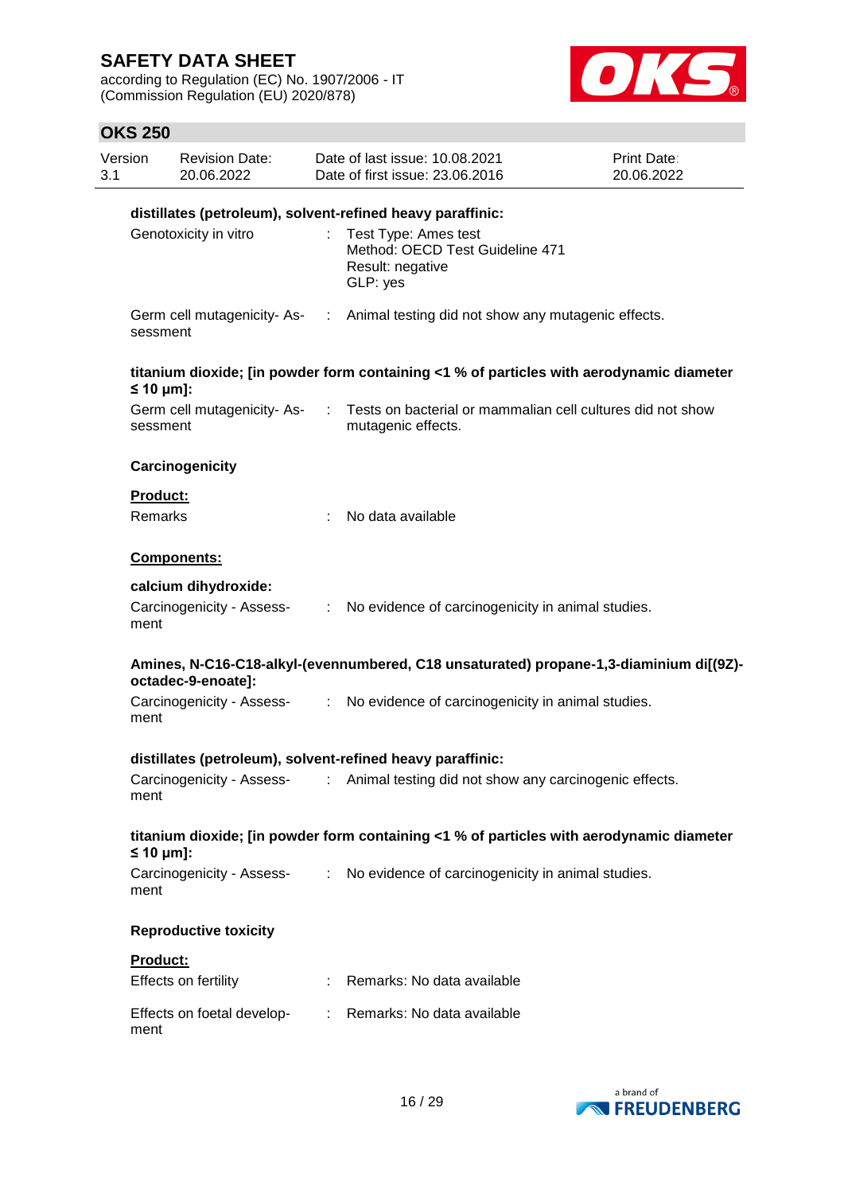according to Regulation (EC) No. 1907/2006 - IT (Commission Regulation (EU) 2020/878)



| Version<br>3.1 |                                                                                 | <b>Revision Date:</b><br>20.06.2022 |    | Date of last issue: 10.08.2021<br>Date of first issue: 23,06,2016                        | Print Date:<br>20.06.2022 |
|----------------|---------------------------------------------------------------------------------|-------------------------------------|----|------------------------------------------------------------------------------------------|---------------------------|
|                |                                                                                 |                                     |    | distillates (petroleum), solvent-refined heavy paraffinic:                               |                           |
|                | Genotoxicity in vitro                                                           |                                     | t. | Test Type: Ames test<br>Method: OECD Test Guideline 471<br>Result: negative<br>GLP: yes  |                           |
|                | sessment                                                                        |                                     |    | Germ cell mutagenicity- As- : Animal testing did not show any mutagenic effects.         |                           |
|                | $\leq 10 \text{ µm}$ :                                                          |                                     |    | titanium dioxide; [in powder form containing <1 % of particles with aerodynamic diameter |                           |
|                | sessment                                                                        | Germ cell mutagenicity-As-          | ÷  | Tests on bacterial or mammalian cell cultures did not show<br>mutagenic effects.         |                           |
|                |                                                                                 | Carcinogenicity                     |    |                                                                                          |                           |
|                | Product:                                                                        |                                     |    |                                                                                          |                           |
|                | Remarks                                                                         |                                     |    | No data available                                                                        |                           |
|                |                                                                                 | Components:                         |    |                                                                                          |                           |
|                | calcium dihydroxide:<br>Carcinogenicity - Assess-<br>ment<br>octadec-9-enoate]: |                                     |    |                                                                                          |                           |
|                |                                                                                 |                                     |    | : No evidence of carcinogenicity in animal studies.                                      |                           |
|                |                                                                                 |                                     |    | Amines, N-C16-C18-alkyl-(evennumbered, C18 unsaturated) propane-1,3-diaminium di[(9Z)-   |                           |
|                | ment                                                                            | Carcinogenicity - Assess-           |    | : No evidence of carcinogenicity in animal studies.                                      |                           |
|                |                                                                                 |                                     |    | distillates (petroleum), solvent-refined heavy paraffinic:                               |                           |
|                | ment                                                                            | Carcinogenicity - Assess-           |    | : Animal testing did not show any carcinogenic effects.                                  |                           |
|                | $\leq 10$ µm]:                                                                  |                                     |    | titanium dioxide; [in powder form containing <1 % of particles with aerodynamic diameter |                           |
|                | ment                                                                            |                                     |    | Carcinogenicity - Assess- : No evidence of carcinogenicity in animal studies.            |                           |
|                |                                                                                 | <b>Reproductive toxicity</b>        |    |                                                                                          |                           |
|                | Product:                                                                        |                                     |    |                                                                                          |                           |
|                |                                                                                 | Effects on fertility                |    | : Remarks: No data available                                                             |                           |
|                | ment                                                                            |                                     |    | Effects on foetal develop- : Remarks: No data available                                  |                           |

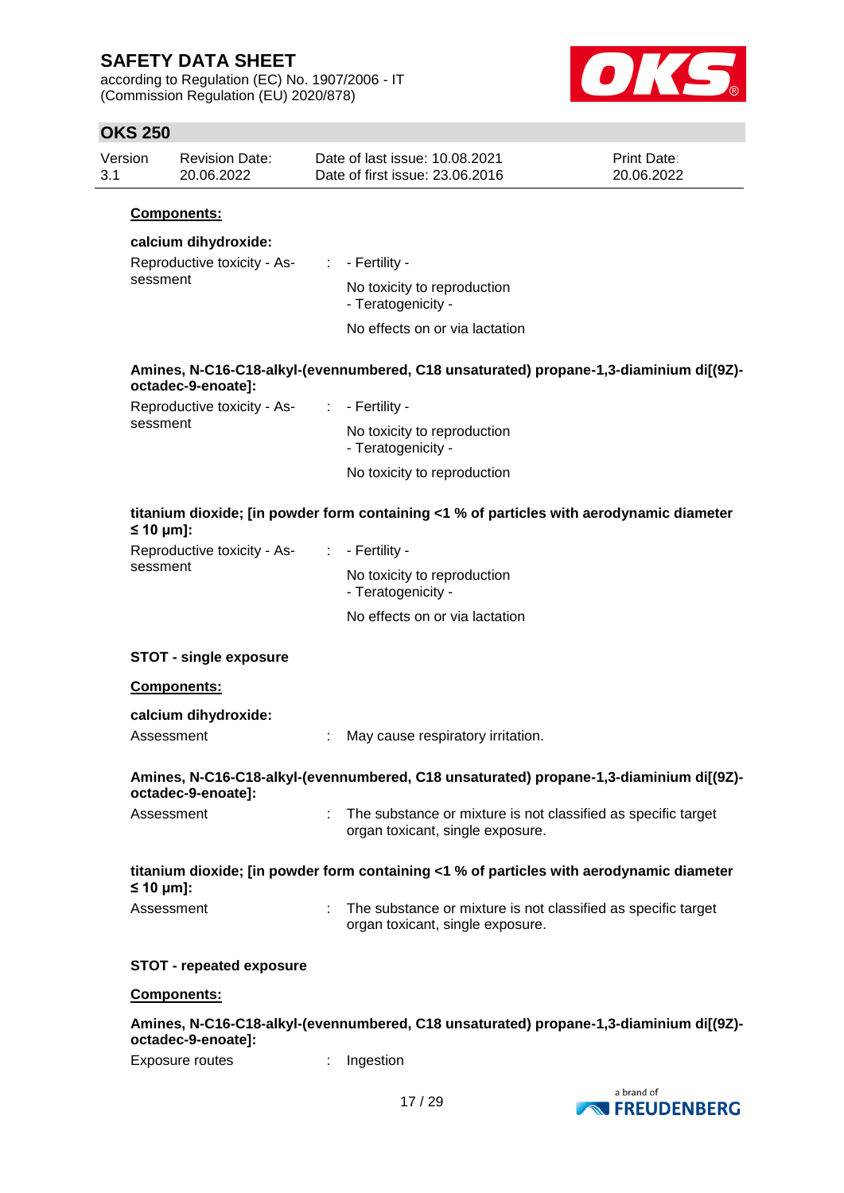according to Regulation (EC) No. 1907/2006 - IT (Commission Regulation (EU) 2020/878)



# **OKS 250**

| טו⊿ בטט                |                                     |                               |                                                                                                   |                           |
|------------------------|-------------------------------------|-------------------------------|---------------------------------------------------------------------------------------------------|---------------------------|
| Version<br>3.1         | <b>Revision Date:</b><br>20.06.2022 |                               | Date of last issue: 10.08.2021<br>Date of first issue: 23.06.2016                                 | Print Date:<br>20.06.2022 |
|                        | Components:                         |                               |                                                                                                   |                           |
|                        | calcium dihydroxide:                |                               |                                                                                                   |                           |
|                        | Reproductive toxicity - As-         |                               | $\therefore$ - Fertility -                                                                        |                           |
| sessment               |                                     |                               | No toxicity to reproduction<br>- Teratogenicity -                                                 |                           |
|                        |                                     |                               | No effects on or via lactation                                                                    |                           |
|                        | octadec-9-enoate]:                  |                               | Amines, N-C16-C18-alkyl-(evennumbered, C18 unsaturated) propane-1,3-diaminium di[(9Z)-            |                           |
|                        | Reproductive toxicity - As-         |                               | $\therefore$ - Fertility -                                                                        |                           |
| sessment               |                                     |                               | No toxicity to reproduction<br>- Teratogenicity -                                                 |                           |
|                        |                                     |                               | No toxicity to reproduction                                                                       |                           |
| $\leq 10 \mu m$ ]:     |                                     |                               | titanium dioxide; [in powder form containing <1 % of particles with aerodynamic diameter          |                           |
|                        | Reproductive toxicity - As-         | $\mathcal{I}^{\mathcal{I}}$ . | - Fertility -                                                                                     |                           |
|                        | sessment                            |                               | No toxicity to reproduction<br>- Teratogenicity -                                                 |                           |
|                        |                                     |                               | No effects on or via lactation                                                                    |                           |
|                        | <b>STOT - single exposure</b>       |                               |                                                                                                   |                           |
|                        | Components:                         |                               |                                                                                                   |                           |
|                        | calcium dihydroxide:                |                               |                                                                                                   |                           |
|                        | Assessment                          |                               | May cause respiratory irritation.                                                                 |                           |
|                        | octadec-9-enoate]:                  |                               | Amines, N-C16-C18-alkyl-(evennumbered, C18 unsaturated) propane-1,3-diaminium di[(9Z)-            |                           |
|                        | Assessment                          |                               | The substance or mixture is not classified as specific target<br>organ toxicant, single exposure. |                           |
| $\leq 10 \text{ µm}$ : |                                     |                               | titanium dioxide; [in powder form containing <1 % of particles with aerodynamic diameter          |                           |
|                        | Assessment                          |                               | The substance or mixture is not classified as specific target<br>organ toxicant, single exposure. |                           |
|                        | <b>STOT - repeated exposure</b>     |                               |                                                                                                   |                           |
|                        | Components:                         |                               |                                                                                                   |                           |
|                        | octadec-9-enoate]:                  |                               | Amines, N-C16-C18-alkyl-(evennumbered, C18 unsaturated) propane-1,3-diaminium di[(9Z)-            |                           |
|                        |                                     |                               |                                                                                                   |                           |

Exposure routes : Ingestion

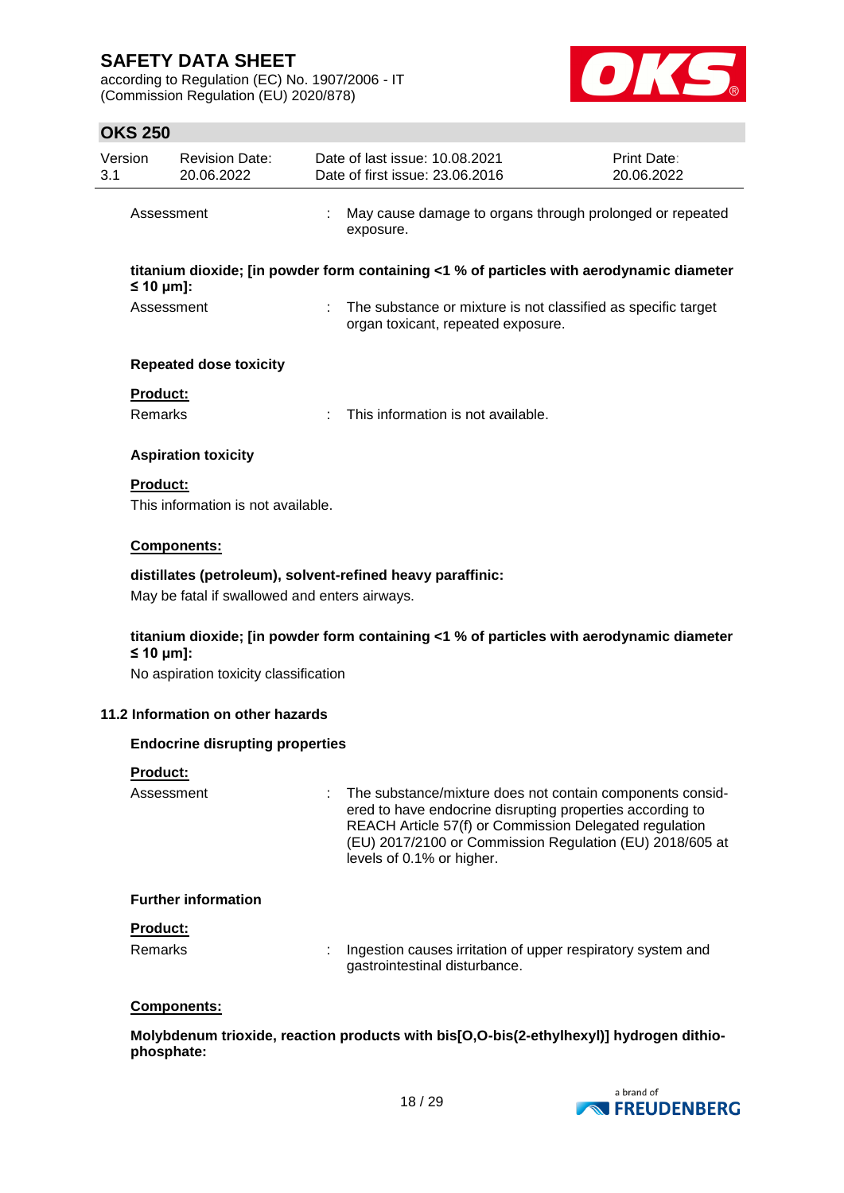according to Regulation (EC) No. 1907/2006 - IT (Commission Regulation (EU) 2020/878)



## **OKS 250**

| Version<br>3.1 | <b>Revision Date:</b><br>20.06.2022                                                                            | Date of last issue: 10.08.2021<br>Date of first issue: 23.06.2016     |                                                                                                                     | Print Date:<br>20.06.2022                                                                                             |  |  |  |
|----------------|----------------------------------------------------------------------------------------------------------------|-----------------------------------------------------------------------|---------------------------------------------------------------------------------------------------------------------|-----------------------------------------------------------------------------------------------------------------------|--|--|--|
|                | Assessment                                                                                                     | May cause damage to organs through prolonged or repeated<br>exposure. |                                                                                                                     |                                                                                                                       |  |  |  |
|                | titanium dioxide; [in powder form containing <1 % of particles with aerodynamic diameter<br>$\leq 10 \mu m$ ]: |                                                                       |                                                                                                                     |                                                                                                                       |  |  |  |
|                | Assessment                                                                                                     |                                                                       | organ toxicant, repeated exposure.                                                                                  | The substance or mixture is not classified as specific target                                                         |  |  |  |
|                | <b>Repeated dose toxicity</b>                                                                                  |                                                                       |                                                                                                                     |                                                                                                                       |  |  |  |
|                | Product:                                                                                                       |                                                                       |                                                                                                                     |                                                                                                                       |  |  |  |
|                | Remarks                                                                                                        |                                                                       | This information is not available.                                                                                  |                                                                                                                       |  |  |  |
|                | <b>Aspiration toxicity</b>                                                                                     |                                                                       |                                                                                                                     |                                                                                                                       |  |  |  |
|                | <b>Product:</b>                                                                                                |                                                                       |                                                                                                                     |                                                                                                                       |  |  |  |
|                | This information is not available.                                                                             |                                                                       |                                                                                                                     |                                                                                                                       |  |  |  |
|                | Components:                                                                                                    |                                                                       |                                                                                                                     |                                                                                                                       |  |  |  |
|                | distillates (petroleum), solvent-refined heavy paraffinic:                                                     |                                                                       |                                                                                                                     |                                                                                                                       |  |  |  |
|                | May be fatal if swallowed and enters airways.                                                                  |                                                                       |                                                                                                                     |                                                                                                                       |  |  |  |
|                | titanium dioxide; [in powder form containing <1 % of particles with aerodynamic diameter                       |                                                                       |                                                                                                                     |                                                                                                                       |  |  |  |
|                | $\leq 10 \text{ µm}$ :<br>No aspiration toxicity classification                                                |                                                                       |                                                                                                                     |                                                                                                                       |  |  |  |
|                |                                                                                                                |                                                                       |                                                                                                                     |                                                                                                                       |  |  |  |
|                | 11.2 Information on other hazards                                                                              |                                                                       |                                                                                                                     |                                                                                                                       |  |  |  |
|                | <b>Endocrine disrupting properties</b>                                                                         |                                                                       |                                                                                                                     |                                                                                                                       |  |  |  |
|                | <b>Product:</b>                                                                                                |                                                                       |                                                                                                                     |                                                                                                                       |  |  |  |
|                | Assessment                                                                                                     | levels of 0.1% or higher.                                             | ered to have endocrine disrupting properties according to<br>REACH Article 57(f) or Commission Delegated regulation | The substance/mixture does not contain components consid-<br>(EU) 2017/2100 or Commission Regulation (EU) 2018/605 at |  |  |  |
|                | <b>Further information</b>                                                                                     |                                                                       |                                                                                                                     |                                                                                                                       |  |  |  |
|                | <b>Product:</b>                                                                                                |                                                                       |                                                                                                                     |                                                                                                                       |  |  |  |
|                | <b>Remarks</b>                                                                                                 | gastrointestinal disturbance.                                         |                                                                                                                     | Ingestion causes irritation of upper respiratory system and                                                           |  |  |  |
|                | Components:                                                                                                    |                                                                       |                                                                                                                     |                                                                                                                       |  |  |  |

**Molybdenum trioxide, reaction products with bis[O,O-bis(2-ethylhexyl)] hydrogen dithiophosphate:**

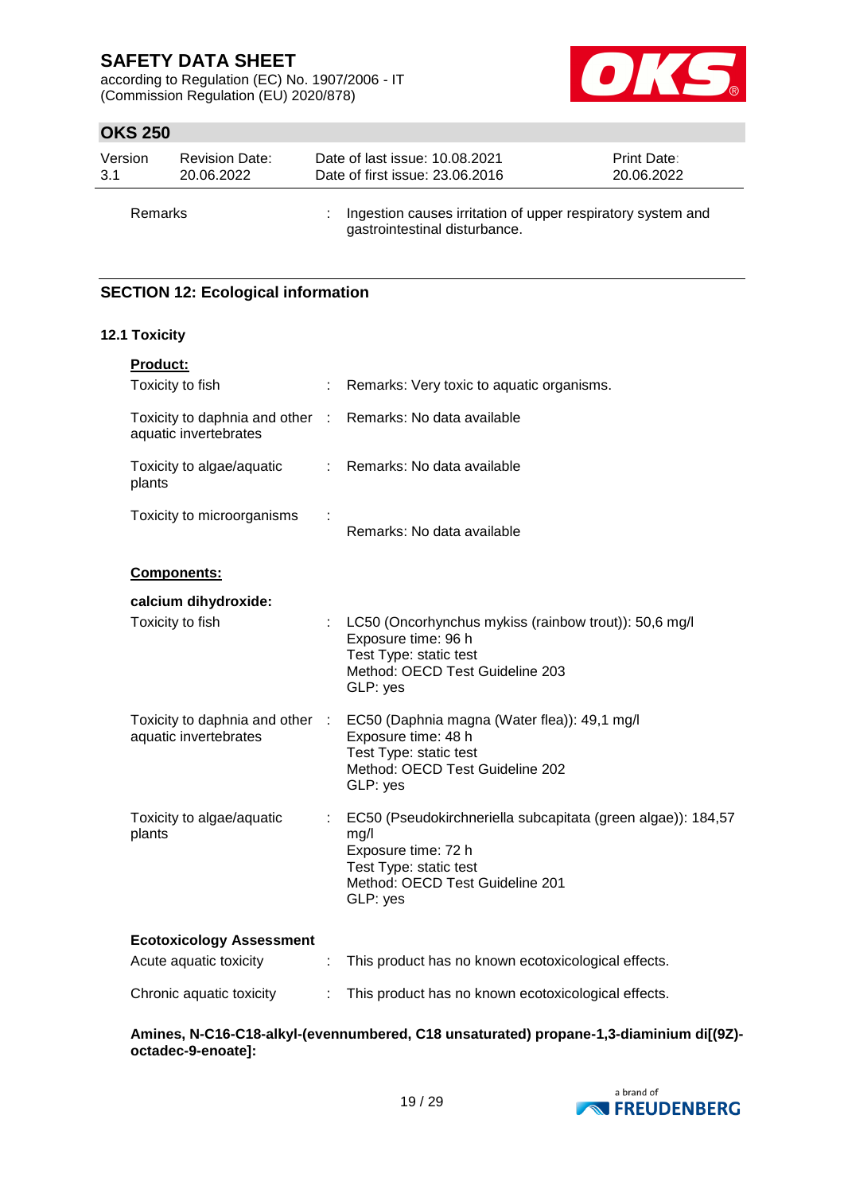according to Regulation (EC) No. 1907/2006 - IT (Commission Regulation (EU) 2020/878)



## **OKS 250**

| Version        | <b>Revision Date:</b> | Date of last issue: 10.08.2021                                                                 | <b>Print Date:</b> |
|----------------|-----------------------|------------------------------------------------------------------------------------------------|--------------------|
| -3.1           | 20.06.2022            | Date of first issue: 23,06,2016                                                                | 20.06.2022         |
| <b>Remarks</b> |                       | : Ingestion causes irritation of upper respiratory system and<br>gastrointestinal disturbance. |                    |

## **SECTION 12: Ecological information**

### **12.1 Toxicity**

| <b>Product:</b>                                           |        |                                                                                                                                                                      |
|-----------------------------------------------------------|--------|----------------------------------------------------------------------------------------------------------------------------------------------------------------------|
| Toxicity to fish                                          | ÷      | Remarks: Very toxic to aquatic organisms.                                                                                                                            |
| Toxicity to daphnia and other<br>aquatic invertebrates    | $\sim$ | Remarks: No data available                                                                                                                                           |
| Toxicity to algae/aquatic<br>plants                       | t.     | Remarks: No data available                                                                                                                                           |
| Toxicity to microorganisms                                |        | Remarks: No data available                                                                                                                                           |
| Components:                                               |        |                                                                                                                                                                      |
| calcium dihydroxide:                                      |        |                                                                                                                                                                      |
| Toxicity to fish                                          | ÷      | LC50 (Oncorhynchus mykiss (rainbow trout)): 50,6 mg/l<br>Exposure time: 96 h<br>Test Type: static test<br>Method: OECD Test Guideline 203<br>GLP: yes                |
| Toxicity to daphnia and other<br>aquatic invertebrates    | - 1    | EC50 (Daphnia magna (Water flea)): 49,1 mg/l<br>Exposure time: 48 h<br>Test Type: static test<br>Method: OECD Test Guideline 202<br>GLP: yes                         |
| Toxicity to algae/aquatic<br>plants                       |        | EC50 (Pseudokirchneriella subcapitata (green algae)): 184,57<br>mg/l<br>Exposure time: 72 h<br>Test Type: static test<br>Method: OECD Test Guideline 201<br>GLP: yes |
| <b>Ecotoxicology Assessment</b><br>Acute aquatic toxicity | ÷      | This product has no known ecotoxicological effects.                                                                                                                  |
| Chronic aquatic toxicity                                  |        | This product has no known ecotoxicological effects.                                                                                                                  |
|                                                           |        |                                                                                                                                                                      |

**Amines, N-C16-C18-alkyl-(evennumbered, C18 unsaturated) propane-1,3-diaminium di[(9Z) octadec-9-enoate]:**

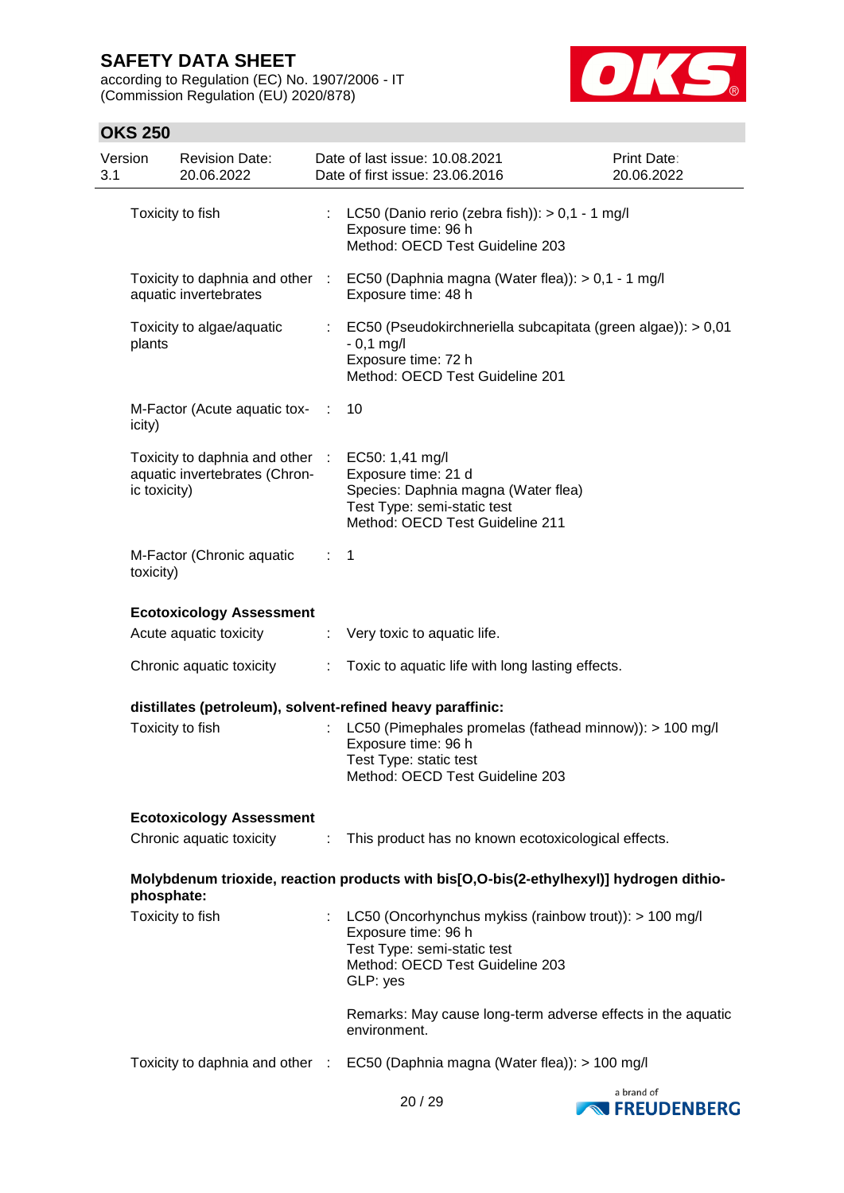according to Regulation (EC) No. 1907/2006 - IT (Commission Regulation (EU) 2020/878)



| Version<br>3.1 |              | <b>Revision Date:</b><br>20.06.2022                              |     | Date of last issue: 10.08.2021<br>Date of first issue: 23.06.2016                                                                                             | Print Date:<br>20.06.2022 |
|----------------|--------------|------------------------------------------------------------------|-----|---------------------------------------------------------------------------------------------------------------------------------------------------------------|---------------------------|
|                |              | Toxicity to fish                                                 |     | LC50 (Danio rerio (zebra fish)): $> 0.1 - 1$ mg/l<br>Exposure time: 96 h<br>Method: OECD Test Guideline 203                                                   |                           |
|                |              | aquatic invertebrates                                            |     | Toxicity to daphnia and other : EC50 (Daphnia magna (Water flea)): > 0,1 - 1 mg/l<br>Exposure time: 48 h                                                      |                           |
|                | plants       | Toxicity to algae/aquatic                                        | ÷.  | EC50 (Pseudokirchneriella subcapitata (green algae)): > 0,01<br>$-0,1$ mg/l<br>Exposure time: 72 h<br>Method: OECD Test Guideline 201                         |                           |
|                | icity)       | M-Factor (Acute aquatic tox-                                     | - 1 | 10                                                                                                                                                            |                           |
|                | ic toxicity) | Toxicity to daphnia and other :<br>aquatic invertebrates (Chron- |     | EC50: 1,41 mg/l<br>Exposure time: 21 d<br>Species: Daphnia magna (Water flea)<br>Test Type: semi-static test<br>Method: OECD Test Guideline 211               |                           |
|                | toxicity)    | M-Factor (Chronic aquatic                                        | ÷.  | $\mathbf 1$                                                                                                                                                   |                           |
|                |              | <b>Ecotoxicology Assessment</b>                                  |     |                                                                                                                                                               |                           |
|                |              | Acute aquatic toxicity                                           |     | : Very toxic to aquatic life.                                                                                                                                 |                           |
|                |              | Chronic aquatic toxicity                                         | t.  | Toxic to aquatic life with long lasting effects.                                                                                                              |                           |
|                |              |                                                                  |     | distillates (petroleum), solvent-refined heavy paraffinic:                                                                                                    |                           |
|                |              | Toxicity to fish                                                 |     | LC50 (Pimephales promelas (fathead minnow)): > 100 mg/l<br>Exposure time: 96 h<br>Test Type: static test<br>Method: OECD Test Guideline 203                   |                           |
|                |              | <b>Ecotoxicology Assessment</b>                                  |     |                                                                                                                                                               |                           |
|                |              |                                                                  |     | Chronic aquatic toxicity This product has no known ecotoxicological effects.                                                                                  |                           |
|                | phosphate:   |                                                                  |     | Molybdenum trioxide, reaction products with bis[O,O-bis(2-ethylhexyl)] hydrogen dithio-                                                                       |                           |
|                |              | Toxicity to fish                                                 |     | : LC50 (Oncorhynchus mykiss (rainbow trout)): > 100 mg/l<br>Exposure time: 96 h<br>Test Type: semi-static test<br>Method: OECD Test Guideline 203<br>GLP: yes |                           |
|                |              |                                                                  |     | Remarks: May cause long-term adverse effects in the aquatic<br>environment.                                                                                   |                           |
|                |              |                                                                  |     | Toxicity to daphnia and other : EC50 (Daphnia magna (Water flea)): > 100 mg/l                                                                                 |                           |



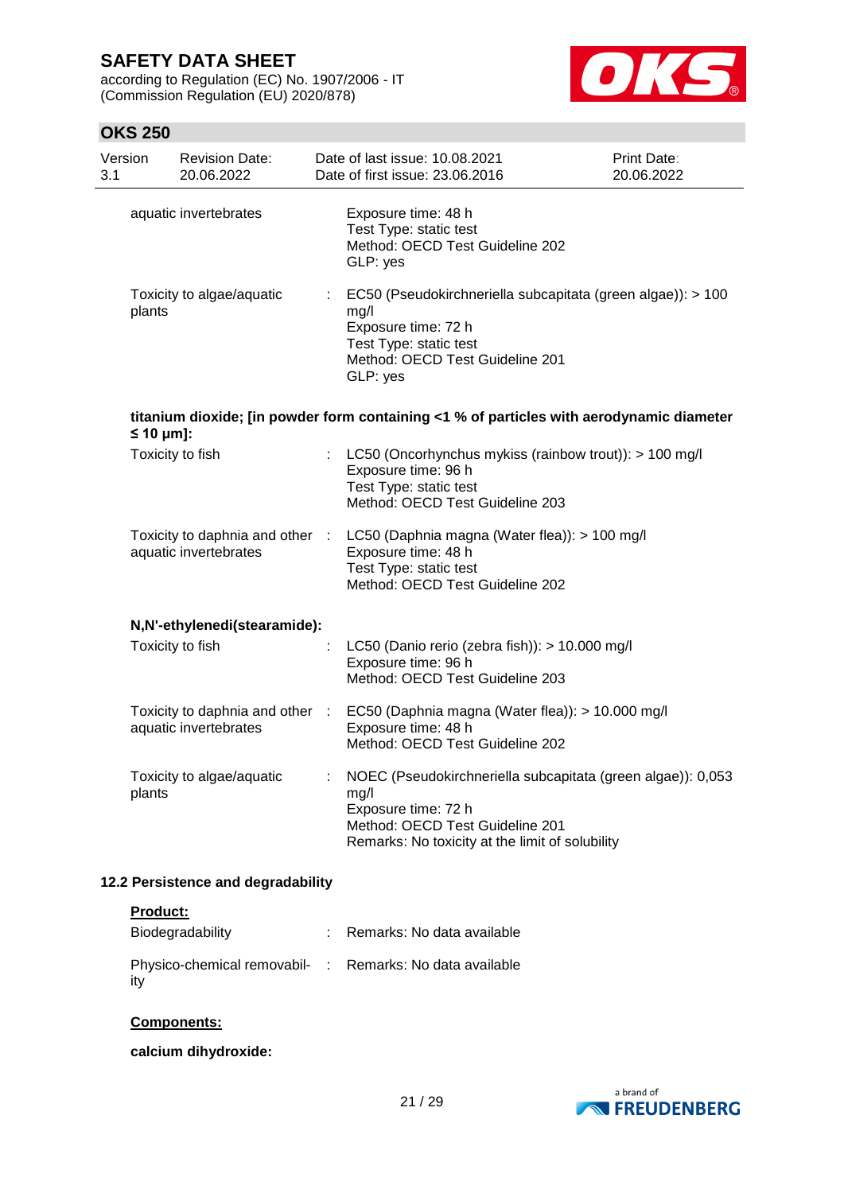according to Regulation (EC) No. 1907/2006 - IT (Commission Regulation (EU) 2020/878)



## **OKS 250**

| Version<br>3.1 |                    | <b>Revision Date:</b><br>20.06.2022                      |    | Date of last issue: 10.08.2021<br>Date of first issue: 23.06.2016                                                                                                                | <b>Print Date:</b><br>20.06.2022 |
|----------------|--------------------|----------------------------------------------------------|----|----------------------------------------------------------------------------------------------------------------------------------------------------------------------------------|----------------------------------|
|                |                    | aquatic invertebrates                                    |    | Exposure time: 48 h<br>Test Type: static test<br>Method: OECD Test Guideline 202<br>GLP: yes                                                                                     |                                  |
|                | plants             | Toxicity to algae/aquatic                                | ÷. | EC50 (Pseudokirchneriella subcapitata (green algae)): > 100<br>mg/l<br>Exposure time: 72 h<br>Test Type: static test<br>Method: OECD Test Guideline 201<br>GLP: yes              |                                  |
|                | $\leq 10 \mu m$ ]: |                                                          |    | titanium dioxide; [in powder form containing <1 % of particles with aerodynamic diameter                                                                                         |                                  |
|                |                    | Toxicity to fish                                         |    | LC50 (Oncorhynchus mykiss (rainbow trout)): > 100 mg/l<br>Exposure time: 96 h<br>Test Type: static test<br>Method: OECD Test Guideline 203                                       |                                  |
|                |                    | aquatic invertebrates                                    |    | Toxicity to daphnia and other : LC50 (Daphnia magna (Water flea)): > 100 mg/l<br>Exposure time: 48 h<br>Test Type: static test<br>Method: OECD Test Guideline 202                |                                  |
|                |                    | N,N'-ethylenedi(stearamide):                             |    |                                                                                                                                                                                  |                                  |
|                |                    | Toxicity to fish                                         |    | LC50 (Danio rerio (zebra fish)): > 10.000 mg/l<br>Exposure time: 96 h<br>Method: OECD Test Guideline 203                                                                         |                                  |
|                |                    | Toxicity to daphnia and other :<br>aquatic invertebrates |    | EC50 (Daphnia magna (Water flea)): > 10.000 mg/l<br>Exposure time: 48 h<br>Method: OECD Test Guideline 202                                                                       |                                  |
|                | plants             | Toxicity to algae/aquatic                                | ÷  | NOEC (Pseudokirchneriella subcapitata (green algae)): 0,053<br>mg/l<br>Exposure time: 72 h<br>Method: OECD Test Guideline 201<br>Remarks: No toxicity at the limit of solubility |                                  |

## **12.2 Persistence and degradability**

### **Product:**

| Biodegradability                                                | Remarks: No data available |
|-----------------------------------------------------------------|----------------------------|
| Physico-chemical removabil- : Remarks: No data available<br>ity |                            |

## **Components:**

## **calcium dihydroxide:**

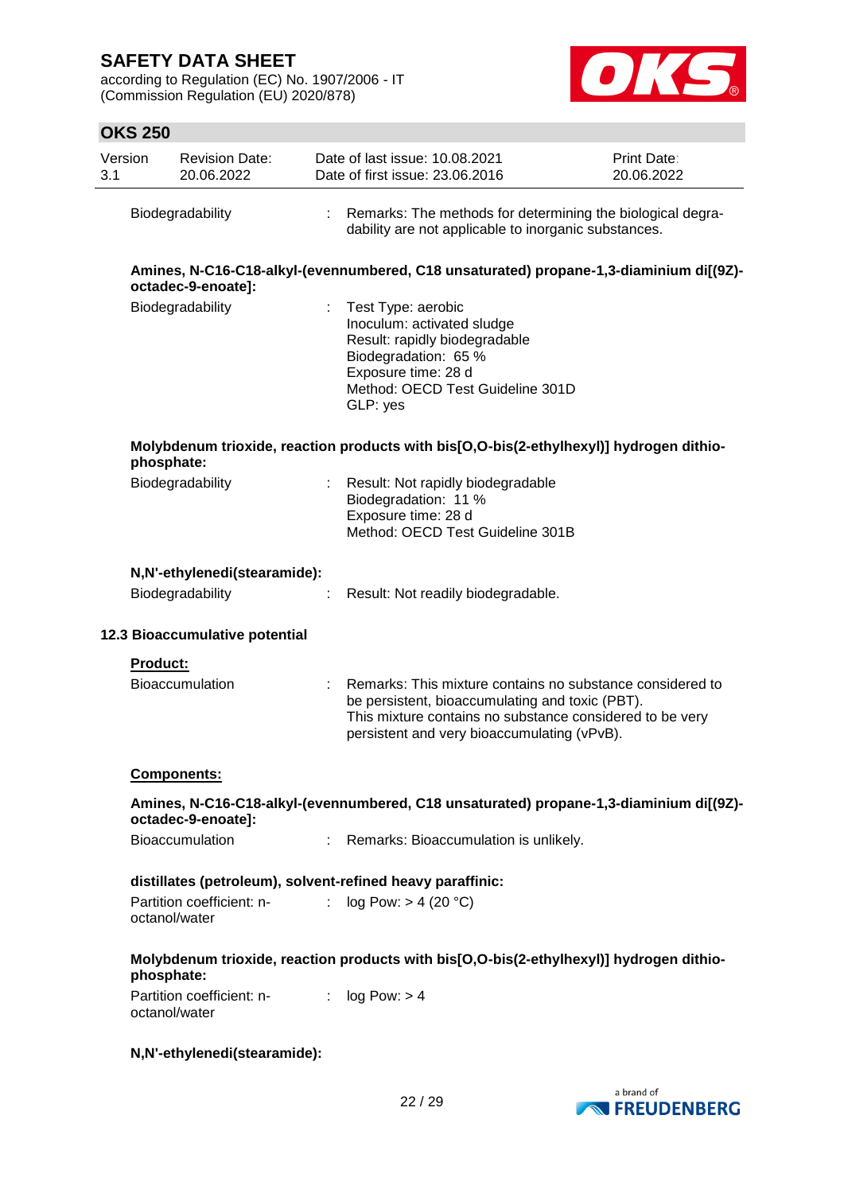according to Regulation (EC) No. 1907/2006 - IT (Commission Regulation (EU) 2020/878)



| Version<br>3.1 |                 | <b>Revision Date:</b><br>20.06.2022        |    | Date of last issue: 10.08.2021<br>Date of first issue: 23.06.2016                                                                                                                                                       | Print Date:<br>20.06.2022 |
|----------------|-----------------|--------------------------------------------|----|-------------------------------------------------------------------------------------------------------------------------------------------------------------------------------------------------------------------------|---------------------------|
|                |                 | Biodegradability                           | ÷. | Remarks: The methods for determining the biological degra-<br>dability are not applicable to inorganic substances.                                                                                                      |                           |
|                |                 | octadec-9-enoate]:                         |    | Amines, N-C16-C18-alkyl-(evennumbered, C18 unsaturated) propane-1,3-diaminium di[(9Z)-                                                                                                                                  |                           |
|                |                 | Biodegradability                           |    | Test Type: aerobic<br>Inoculum: activated sludge<br>Result: rapidly biodegradable<br>Biodegradation: 65 %<br>Exposure time: 28 d<br>Method: OECD Test Guideline 301D<br>GLP: yes                                        |                           |
|                | phosphate:      |                                            |    | Molybdenum trioxide, reaction products with bis[O,O-bis(2-ethylhexyl)] hydrogen dithio-                                                                                                                                 |                           |
|                |                 | Biodegradability                           |    | Result: Not rapidly biodegradable<br>Biodegradation: 11 %<br>Exposure time: 28 d<br>Method: OECD Test Guideline 301B                                                                                                    |                           |
|                |                 | N,N'-ethylenedi(stearamide):               |    |                                                                                                                                                                                                                         |                           |
|                |                 | Biodegradability                           |    | Result: Not readily biodegradable.                                                                                                                                                                                      |                           |
|                |                 | 12.3 Bioaccumulative potential             |    |                                                                                                                                                                                                                         |                           |
|                | <b>Product:</b> |                                            |    |                                                                                                                                                                                                                         |                           |
|                |                 | <b>Bioaccumulation</b>                     |    | Remarks: This mixture contains no substance considered to<br>be persistent, bioaccumulating and toxic (PBT).<br>This mixture contains no substance considered to be very<br>persistent and very bioaccumulating (vPvB). |                           |
|                |                 | <b>Components:</b>                         |    |                                                                                                                                                                                                                         |                           |
|                |                 | octadec-9-enoate]:                         |    | Amines, N-C16-C18-alkyl-(evennumbered, C18 unsaturated) propane-1,3-diaminium di[(9Z)-                                                                                                                                  |                           |
|                |                 | Bioaccumulation                            |    | Remarks: Bioaccumulation is unlikely.                                                                                                                                                                                   |                           |
|                |                 |                                            |    | distillates (petroleum), solvent-refined heavy paraffinic:                                                                                                                                                              |                           |
|                |                 | Partition coefficient: n-<br>octanol/water |    | log Pow: > 4 (20 °C)                                                                                                                                                                                                    |                           |
|                | phosphate:      |                                            |    | Molybdenum trioxide, reaction products with bis[O,O-bis(2-ethylhexyl)] hydrogen dithio-                                                                                                                                 |                           |
|                |                 | Partition coefficient: n-<br>octanol/water |    | : $log Pow: > 4$                                                                                                                                                                                                        |                           |
|                |                 | N,N'-ethylenedi(stearamide):               |    |                                                                                                                                                                                                                         |                           |

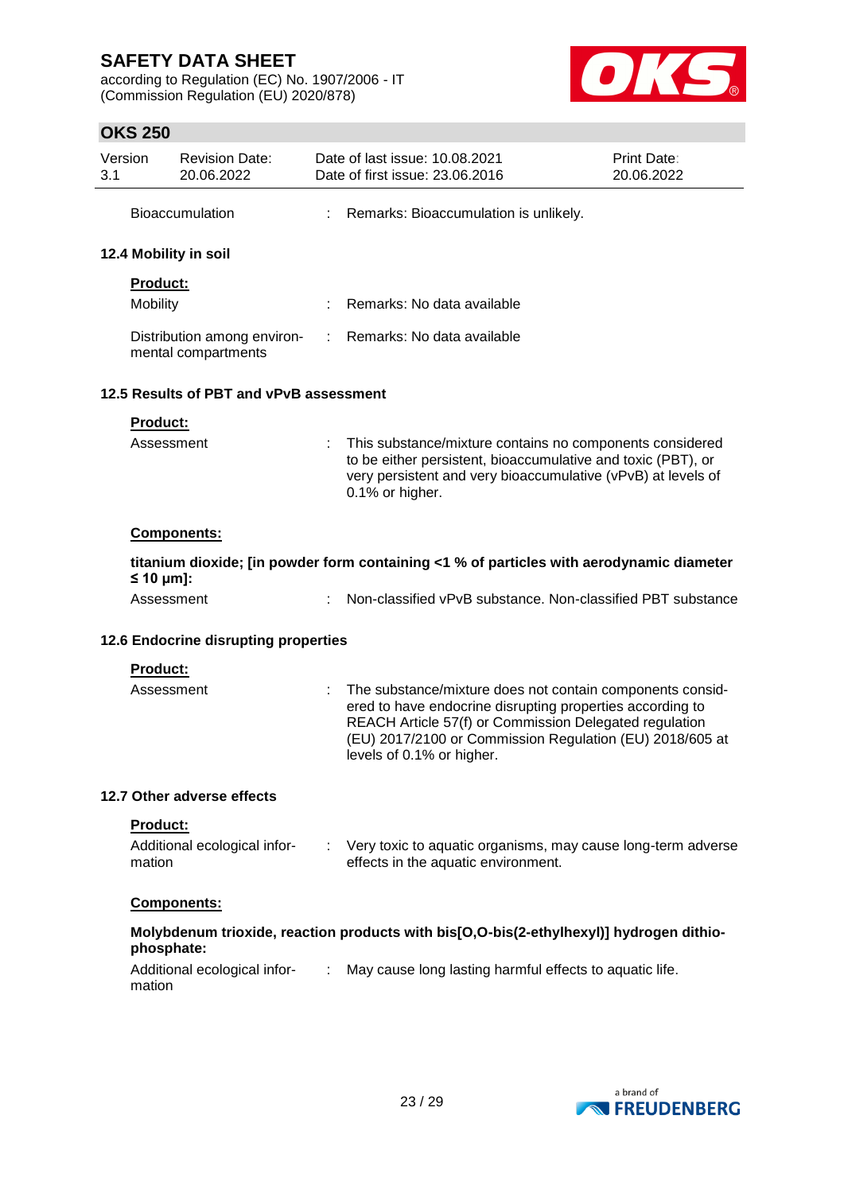according to Regulation (EC) No. 1907/2006 - IT (Commission Regulation (EU) 2020/878)



| Version<br>3.1 |                                                                                                          | <b>Revision Date:</b><br>20.06.2022                |                               | Date of last issue: 10.08.2021<br>Date of first issue: 23.06.2016                                                                                                                                                                                                         | <b>Print Date:</b><br>20.06.2022 |  |
|----------------|----------------------------------------------------------------------------------------------------------|----------------------------------------------------|-------------------------------|---------------------------------------------------------------------------------------------------------------------------------------------------------------------------------------------------------------------------------------------------------------------------|----------------------------------|--|
|                |                                                                                                          | <b>Bioaccumulation</b>                             |                               | Remarks: Bioaccumulation is unlikely.                                                                                                                                                                                                                                     |                                  |  |
|                |                                                                                                          | 12.4 Mobility in soil                              |                               |                                                                                                                                                                                                                                                                           |                                  |  |
|                | <b>Product:</b>                                                                                          |                                                    |                               |                                                                                                                                                                                                                                                                           |                                  |  |
|                | Mobility                                                                                                 |                                                    |                               | Remarks: No data available                                                                                                                                                                                                                                                |                                  |  |
|                |                                                                                                          | Distribution among environ-<br>mental compartments | ÷.                            | Remarks: No data available                                                                                                                                                                                                                                                |                                  |  |
|                |                                                                                                          | 12.5 Results of PBT and vPvB assessment            |                               |                                                                                                                                                                                                                                                                           |                                  |  |
|                | Product:                                                                                                 |                                                    |                               |                                                                                                                                                                                                                                                                           |                                  |  |
|                | Assessment                                                                                               |                                                    |                               | This substance/mixture contains no components considered<br>to be either persistent, bioaccumulative and toxic (PBT), or<br>very persistent and very bioaccumulative (vPvB) at levels of<br>0.1% or higher.                                                               |                                  |  |
|                |                                                                                                          | Components:                                        |                               |                                                                                                                                                                                                                                                                           |                                  |  |
|                | titanium dioxide; [in powder form containing <1 % of particles with aerodynamic diameter<br>≤ 10 $µm$ ]: |                                                    |                               |                                                                                                                                                                                                                                                                           |                                  |  |
|                | Assessment                                                                                               |                                                    |                               | Non-classified vPvB substance. Non-classified PBT substance                                                                                                                                                                                                               |                                  |  |
|                | 12.6 Endocrine disrupting properties                                                                     |                                                    |                               |                                                                                                                                                                                                                                                                           |                                  |  |
|                | Product:                                                                                                 |                                                    |                               |                                                                                                                                                                                                                                                                           |                                  |  |
|                | Assessment                                                                                               |                                                    |                               | The substance/mixture does not contain components consid-<br>ered to have endocrine disrupting properties according to<br>REACH Article 57(f) or Commission Delegated regulation<br>(EU) 2017/2100 or Commission Regulation (EU) 2018/605 at<br>levels of 0.1% or higher. |                                  |  |
|                |                                                                                                          | 12.7 Other adverse effects                         |                               |                                                                                                                                                                                                                                                                           |                                  |  |
|                | Product:                                                                                                 |                                                    |                               |                                                                                                                                                                                                                                                                           |                                  |  |
|                | mation                                                                                                   | Additional ecological infor-                       |                               | : Very toxic to aquatic organisms, may cause long-term adverse<br>effects in the aquatic environment.                                                                                                                                                                     |                                  |  |
|                |                                                                                                          | Components:                                        |                               |                                                                                                                                                                                                                                                                           |                                  |  |
|                | phosphate:                                                                                               |                                                    |                               | Molybdenum trioxide, reaction products with bis[O,O-bis(2-ethylhexyl)] hydrogen dithio-                                                                                                                                                                                   |                                  |  |
|                | mation                                                                                                   | Additional ecological infor-                       | $\mathcal{I}^{\mathcal{I}}$ . | May cause long lasting harmful effects to aquatic life.                                                                                                                                                                                                                   |                                  |  |
|                |                                                                                                          |                                                    |                               |                                                                                                                                                                                                                                                                           |                                  |  |
|                |                                                                                                          |                                                    |                               |                                                                                                                                                                                                                                                                           |                                  |  |
|                |                                                                                                          |                                                    |                               |                                                                                                                                                                                                                                                                           |                                  |  |

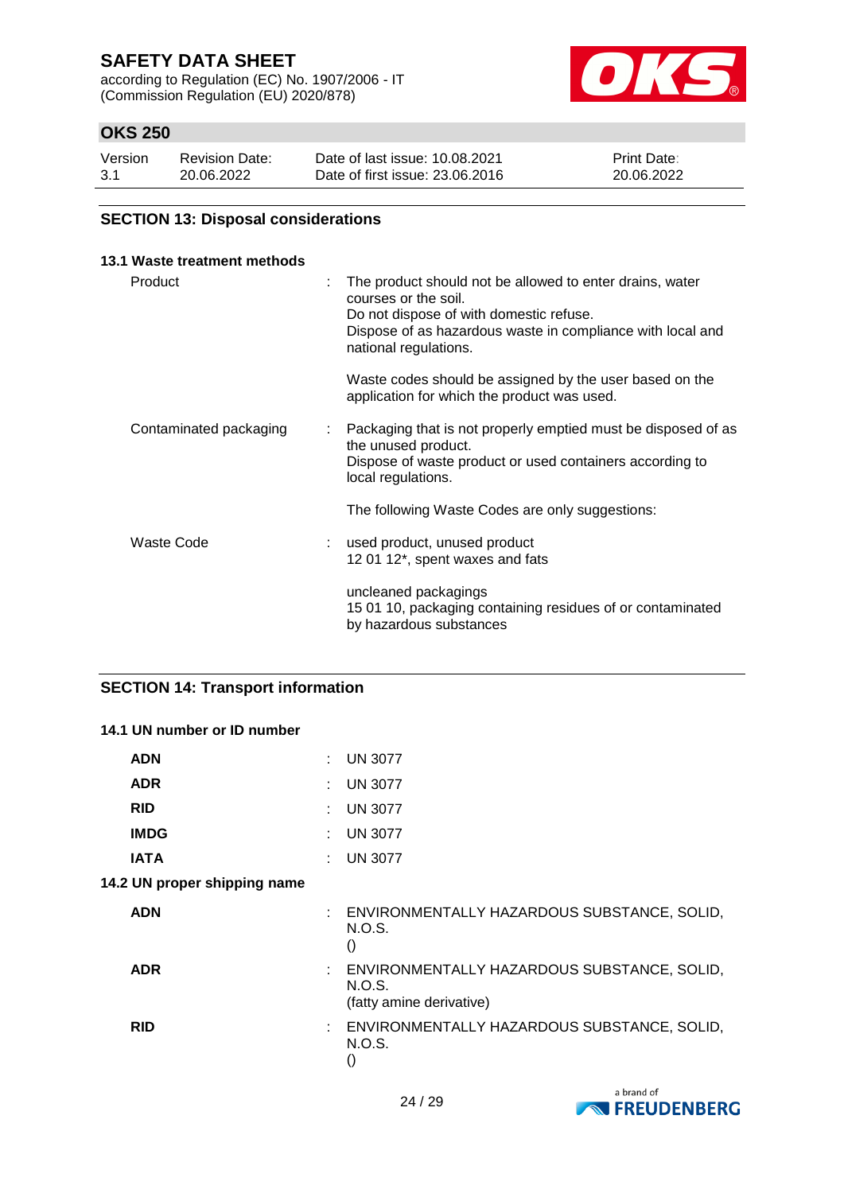according to Regulation (EC) No. 1907/2006 - IT (Commission Regulation (EU) 2020/878)



## **OKS 250**

| Version | <b>Revision Date:</b> | Date of last issue: 10.08.2021  | <b>Print Date:</b> |
|---------|-----------------------|---------------------------------|--------------------|
| 3.1     | 20.06.2022            | Date of first issue: 23,06,2016 | 20.06.2022         |

### **SECTION 13: Disposal considerations**

| 13.1 Waste treatment methods |                                                                                                                                                                                                                    |
|------------------------------|--------------------------------------------------------------------------------------------------------------------------------------------------------------------------------------------------------------------|
| Product                      | The product should not be allowed to enter drains, water<br>courses or the soil.<br>Do not dispose of with domestic refuse.<br>Dispose of as hazardous waste in compliance with local and<br>national regulations. |
|                              | Waste codes should be assigned by the user based on the<br>application for which the product was used.                                                                                                             |
| Contaminated packaging       | Packaging that is not properly emptied must be disposed of as<br>÷.<br>the unused product.<br>Dispose of waste product or used containers according to<br>local regulations.                                       |
|                              | The following Waste Codes are only suggestions:                                                                                                                                                                    |
| Waste Code                   | used product, unused product<br>12 01 12*, spent waxes and fats                                                                                                                                                    |
|                              | uncleaned packagings<br>15 01 10, packaging containing residues of or contaminated<br>by hazardous substances                                                                                                      |

## **SECTION 14: Transport information**

| 14.1 UN number or ID number  |                                                                                     |
|------------------------------|-------------------------------------------------------------------------------------|
| <b>ADN</b>                   | <b>UN 3077</b>                                                                      |
| <b>ADR</b>                   | <b>UN 3077</b>                                                                      |
| <b>RID</b>                   | <b>UN 3077</b>                                                                      |
| <b>IMDG</b>                  | <b>UN 3077</b>                                                                      |
| <b>IATA</b>                  | <b>UN 3077</b>                                                                      |
| 14.2 UN proper shipping name |                                                                                     |
| <b>ADN</b>                   | : ENVIRONMENTALLY HAZARDOUS SUBSTANCE, SOLID,<br>N.O.S.<br>$\left( \right)$         |
| <b>ADR</b>                   | : ENVIRONMENTALLY HAZARDOUS SUBSTANCE, SOLID,<br>N.O.S.<br>(fatty amine derivative) |
| <b>RID</b>                   | : ENVIRONMENTALLY HAZARDOUS SUBSTANCE, SOLID,<br>N.O.S.<br>$\left( \right)$         |

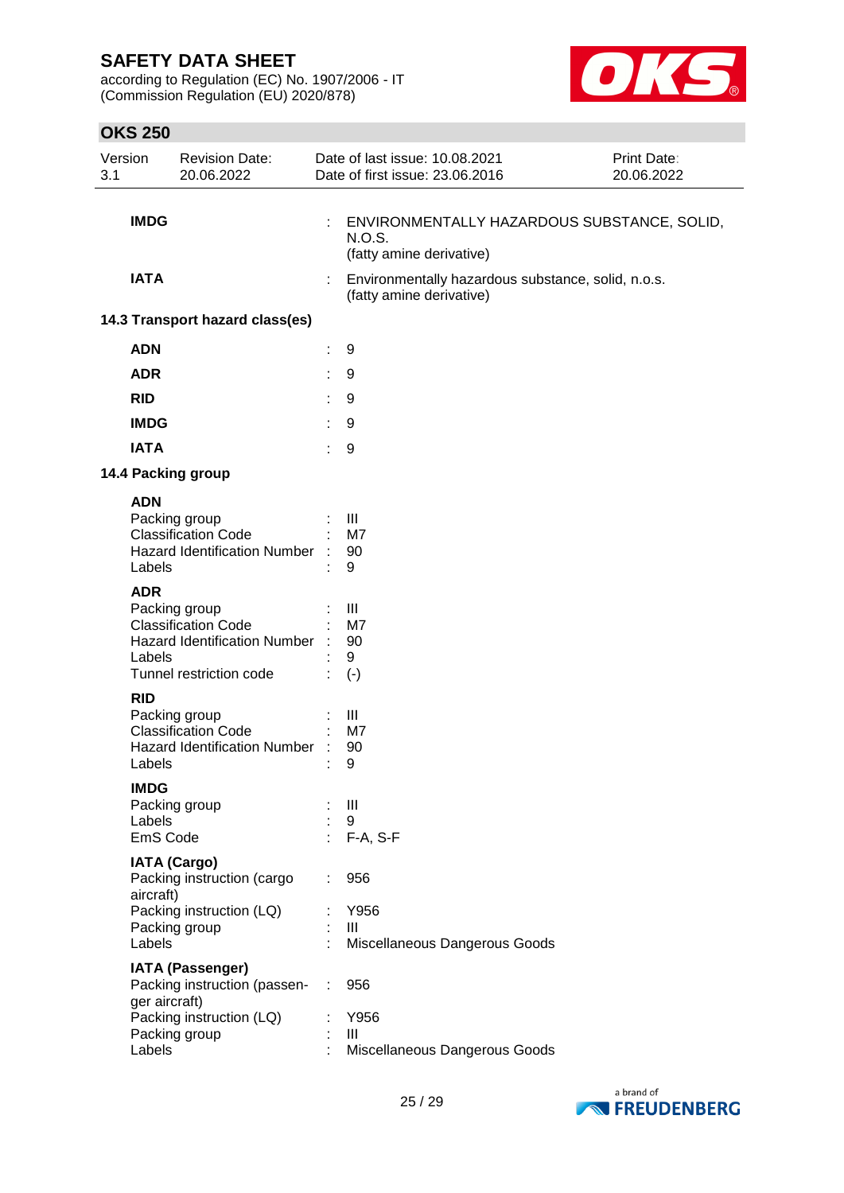according to Regulation (EC) No. 1907/2006 - IT (Commission Regulation (EU) 2020/878)



| Version<br>3.1 |                                                                      | <b>Revision Date:</b><br>20.06.2022                                                                                                                                                                                                                                                  |           | Date of last issue: 10.08.2021<br>Date of first issue: 23.06.2016                        | Print Date:<br>20.06.2022 |
|----------------|----------------------------------------------------------------------|--------------------------------------------------------------------------------------------------------------------------------------------------------------------------------------------------------------------------------------------------------------------------------------|-----------|------------------------------------------------------------------------------------------|---------------------------|
|                | <b>IMDG</b>                                                          |                                                                                                                                                                                                                                                                                      |           | ENVIRONMENTALLY HAZARDOUS SUBSTANCE, SOLID,<br><b>N.O.S.</b><br>(fatty amine derivative) |                           |
|                | <b>IATA</b>                                                          |                                                                                                                                                                                                                                                                                      |           | Environmentally hazardous substance, solid, n.o.s.<br>(fatty amine derivative)           |                           |
|                |                                                                      | 14.3 Transport hazard class(es)                                                                                                                                                                                                                                                      |           |                                                                                          |                           |
|                | <b>ADN</b>                                                           |                                                                                                                                                                                                                                                                                      | t         | 9                                                                                        |                           |
|                | <b>ADR</b>                                                           |                                                                                                                                                                                                                                                                                      | t         | 9                                                                                        |                           |
|                | <b>RID</b>                                                           |                                                                                                                                                                                                                                                                                      | ÷         | 9                                                                                        |                           |
|                | <b>IMDG</b>                                                          |                                                                                                                                                                                                                                                                                      |           | 9                                                                                        |                           |
|                | <b>IATA</b>                                                          |                                                                                                                                                                                                                                                                                      |           | 9                                                                                        |                           |
|                |                                                                      | 14.4 Packing group                                                                                                                                                                                                                                                                   |           |                                                                                          |                           |
|                | <b>ADN</b><br>Labels<br><b>ADR</b><br>Labels<br><b>RID</b><br>Labels | Packing group<br><b>Classification Code</b><br><b>Hazard Identification Number</b><br>Packing group<br><b>Classification Code</b><br>Hazard Identification Number :<br>Tunnel restriction code<br>Packing group<br><b>Classification Code</b><br><b>Hazard Identification Number</b> | $\cdot$ : | Ш<br>M7<br>90<br>9<br>III<br>M7<br>90<br>9<br>$(-)$<br>Ш<br>M7<br>90<br>9                |                           |
|                | IMDG<br>Labels<br>EmS Code                                           | Packing group                                                                                                                                                                                                                                                                        |           | Ш<br>9<br>F-A, S-F                                                                       |                           |
|                | aircraft)<br>Labels                                                  | <b>IATA (Cargo)</b><br>Packing instruction (cargo<br>Packing instruction (LQ)<br>Packing group                                                                                                                                                                                       |           | 956<br>Y956<br>Ш<br>Miscellaneous Dangerous Goods                                        |                           |
|                | ger aircraft)<br>Labels                                              | <b>IATA (Passenger)</b><br>Packing instruction (passen-<br>Packing instruction (LQ)<br>Packing group                                                                                                                                                                                 |           | 956<br>Y956<br>Ш<br>Miscellaneous Dangerous Goods                                        |                           |

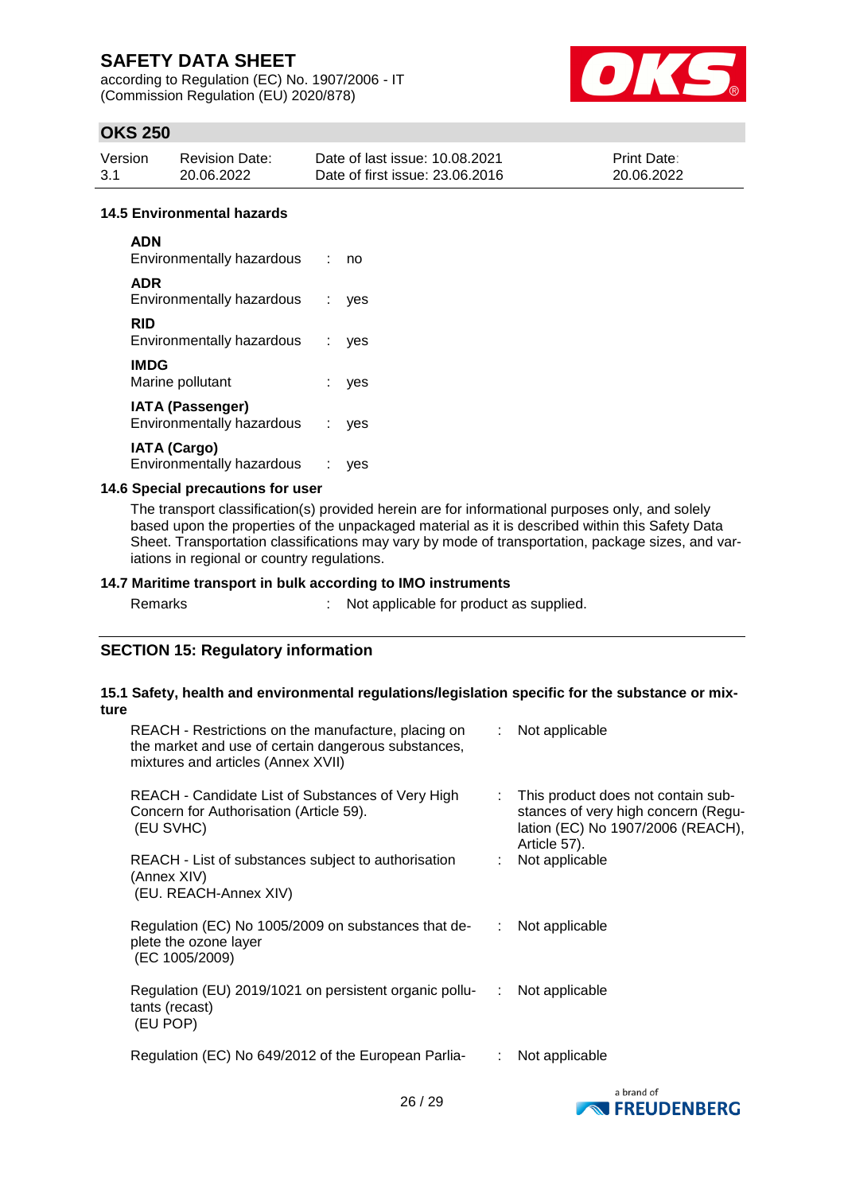according to Regulation (EC) No. 1907/2006 - IT (Commission Regulation (EU) 2020/878)



## **OKS 250**

| Version | <b>Revision Date:</b> | Date of last issue: 10.08.2021  | <b>Print Date:</b> |
|---------|-----------------------|---------------------------------|--------------------|
| -3.1    | 20.06.2022            | Date of first issue: 23,06,2016 | 20.06.2022         |

#### **14.5 Environmental hazards**

| <b>ADN</b><br>Environmentally hazardous                 | ÷  | no  |
|---------------------------------------------------------|----|-----|
| <b>ADR</b><br>Environmentally hazardous                 | ÷. | ves |
| RID<br>Environmentally hazardous                        | ÷. | ves |
| <b>IMDG</b><br>Marine pollutant                         |    | ves |
| <b>IATA (Passenger)</b><br>Environmentally hazardous    | ÷. | ves |
| <b>IATA (Cargo)</b><br><b>Environmentally hazardous</b> | ÷  |     |

### **14.6 Special precautions for user**

The transport classification(s) provided herein are for informational purposes only, and solely based upon the properties of the unpackaged material as it is described within this Safety Data Sheet. Transportation classifications may vary by mode of transportation, package sizes, and variations in regional or country regulations.

### **14.7 Maritime transport in bulk according to IMO instruments**

: Not applicable for product as supplied.

### **SECTION 15: Regulatory information**

### **15.1 Safety, health and environmental regulations/legislation specific for the substance or mixture**

| REACH - Restrictions on the manufacture, placing on<br>the market and use of certain dangerous substances,<br>mixtures and articles (Annex XVII) |               | $\therefore$ Not applicable                                                                                                      |
|--------------------------------------------------------------------------------------------------------------------------------------------------|---------------|----------------------------------------------------------------------------------------------------------------------------------|
| REACH - Candidate List of Substances of Very High<br>Concern for Authorisation (Article 59).<br>(EU SVHC)                                        |               | : This product does not contain sub-<br>stances of very high concern (Regu-<br>lation (EC) No 1907/2006 (REACH),<br>Article 57). |
| REACH - List of substances subject to authorisation<br>(Annex XIV)<br>(EU. REACH-Annex XIV)                                                      |               | : Not applicable                                                                                                                 |
| Regulation (EC) No 1005/2009 on substances that de-<br>plete the ozone layer<br>(EC 1005/2009)                                                   | ÷.            | Not applicable                                                                                                                   |
| Regulation (EU) 2019/1021 on persistent organic pollu-<br>tants (recast)<br>(EU POP)                                                             | $\mathcal{L}$ | Not applicable                                                                                                                   |
| Regulation (EC) No 649/2012 of the European Parlia-                                                                                              | ÷             | Not applicable                                                                                                                   |

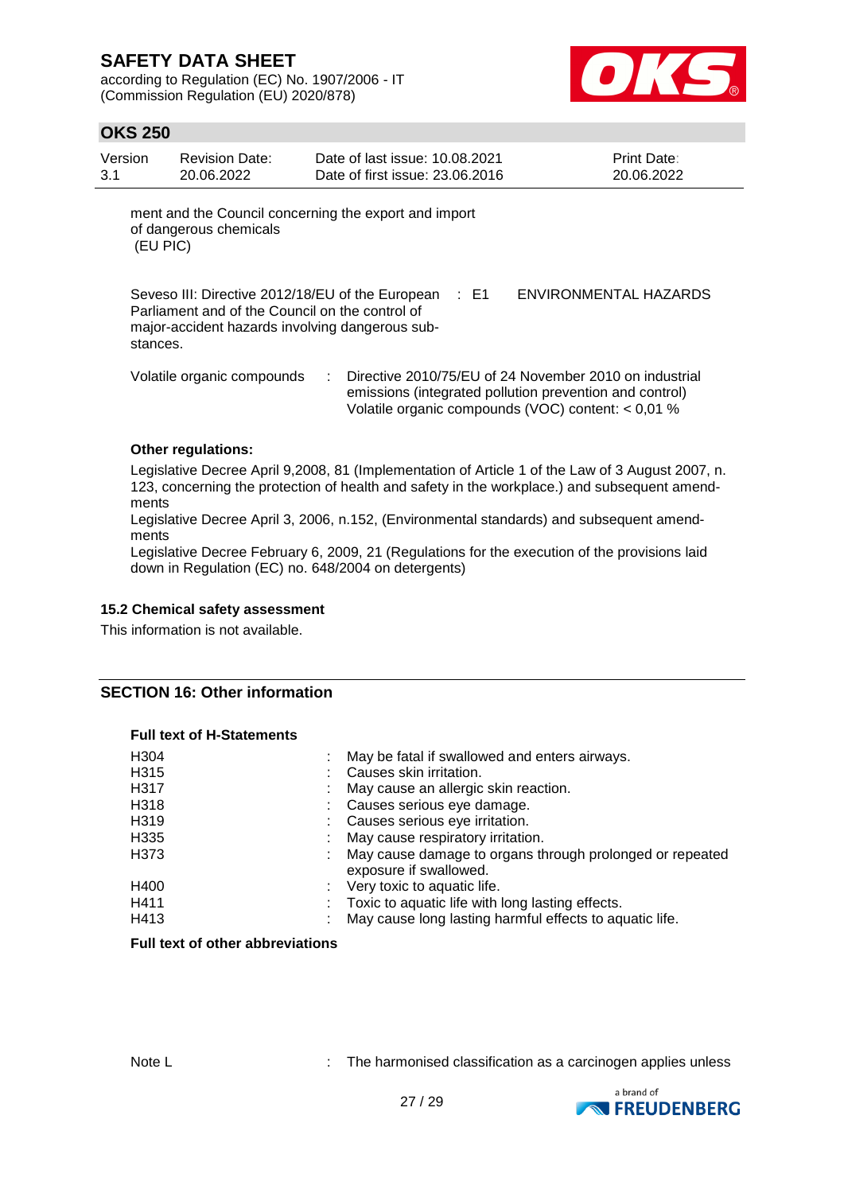according to Regulation (EC) No. 1907/2006 - IT (Commission Regulation (EU) 2020/878)



## **OKS 250**

| Version  | <b>Revision Date:</b>  | Date of last issue: 10.08.2021                        | <b>Print Date:</b> |
|----------|------------------------|-------------------------------------------------------|--------------------|
| 3.1      | 20.06.2022             | Date of first issue: 23.06.2016                       | 20.06.2022         |
| (EU PIC) | of dangerous chemicals | ment and the Council concerning the export and import |                    |

Seveso III: Directive 2012/18/EU of the European : E1 Parliament and of the Council on the control of major-accident hazards involving dangerous substances.

ENVIRONMENTAL HAZARDS

Volatile organic compounds : Directive 2010/75/EU of 24 November 2010 on industrial emissions (integrated pollution prevention and control) Volatile organic compounds (VOC) content: < 0,01 %

### **Other regulations:**

Legislative Decree April 9,2008, 81 (Implementation of Article 1 of the Law of 3 August 2007, n. 123, concerning the protection of health and safety in the workplace.) and subsequent amendments

Legislative Decree April 3, 2006, n.152, (Environmental standards) and subsequent amendments

Legislative Decree February 6, 2009, 21 (Regulations for the execution of the provisions laid down in Regulation (EC) no. 648/2004 on detergents)

#### **15.2 Chemical safety assessment**

This information is not available.

### **SECTION 16: Other information**

#### **Full text of H-Statements**

| H <sub>304</sub><br>H315<br>H317<br>H318<br>H <sub>3</sub> 19<br>H <sub>335</sub><br>H373 | May be fatal if swallowed and enters airways.<br>Causes skin irritation.<br>May cause an allergic skin reaction.<br>Causes serious eye damage.<br>Causes serious eye irritation.<br>May cause respiratory irritation.<br>May cause damage to organs through prolonged or repeated<br>exposure if swallowed. |
|-------------------------------------------------------------------------------------------|-------------------------------------------------------------------------------------------------------------------------------------------------------------------------------------------------------------------------------------------------------------------------------------------------------------|
| H400<br>H411<br>H413                                                                      | : Very toxic to aquatic life.<br>Toxic to aquatic life with long lasting effects.<br>May cause long lasting harmful effects to aquatic life.                                                                                                                                                                |
|                                                                                           |                                                                                                                                                                                                                                                                                                             |

## **Full text of other abbreviations**

Note L **Interpreteral Contract Contract Contract** : The harmonised classification as a carcinogen applies unless

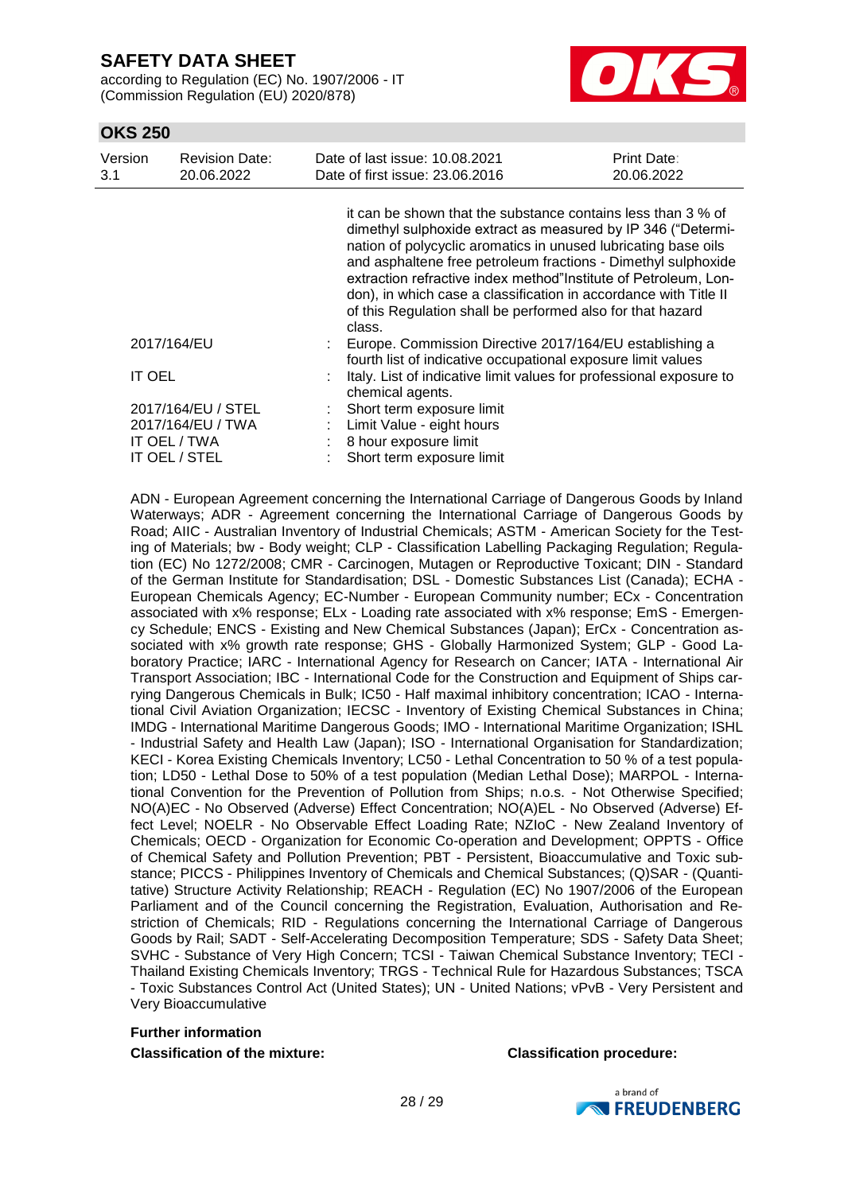according to Regulation (EC) No. 1907/2006 - IT (Commission Regulation (EU) 2020/878)



## **OKS 250**

| Version<br>3.1 | <b>Revision Date:</b><br>20.06.2022                                      | Date of last issue: 10.08.2021<br>Date of first issue: 23.06.2016                                                                                                                                                                                                                                                                                                                                                                                                              | Print Date:<br>20.06.2022 |
|----------------|--------------------------------------------------------------------------|--------------------------------------------------------------------------------------------------------------------------------------------------------------------------------------------------------------------------------------------------------------------------------------------------------------------------------------------------------------------------------------------------------------------------------------------------------------------------------|---------------------------|
|                |                                                                          | it can be shown that the substance contains less than 3 % of<br>dimethyl sulphoxide extract as measured by IP 346 ("Determi-<br>nation of polycyclic aromatics in unused lubricating base oils<br>and asphaltene free petroleum fractions - Dimethyl sulphoxide<br>extraction refractive index method"Institute of Petroleum, Lon-<br>don), in which case a classification in accordance with Title II<br>of this Regulation shall be performed also for that hazard<br>class. |                           |
|                | 2017/164/EU                                                              | Europe. Commission Directive 2017/164/EU establishing a<br>fourth list of indicative occupational exposure limit values                                                                                                                                                                                                                                                                                                                                                        |                           |
| <b>IT OEL</b>  |                                                                          | Italy. List of indicative limit values for professional exposure to<br>chemical agents.                                                                                                                                                                                                                                                                                                                                                                                        |                           |
|                | 2017/164/EU / STEL<br>2017/164/EU / TWA<br>IT OEL / TWA<br>IT OEL / STEL | Short term exposure limit<br>Limit Value - eight hours<br>8 hour exposure limit<br>Short term exposure limit                                                                                                                                                                                                                                                                                                                                                                   |                           |

ADN - European Agreement concerning the International Carriage of Dangerous Goods by Inland Waterways; ADR - Agreement concerning the International Carriage of Dangerous Goods by Road; AIIC - Australian Inventory of Industrial Chemicals; ASTM - American Society for the Testing of Materials; bw - Body weight; CLP - Classification Labelling Packaging Regulation; Regulation (EC) No 1272/2008; CMR - Carcinogen, Mutagen or Reproductive Toxicant; DIN - Standard of the German Institute for Standardisation; DSL - Domestic Substances List (Canada); ECHA - European Chemicals Agency; EC-Number - European Community number; ECx - Concentration associated with x% response; ELx - Loading rate associated with x% response; EmS - Emergency Schedule; ENCS - Existing and New Chemical Substances (Japan); ErCx - Concentration associated with x% growth rate response; GHS - Globally Harmonized System; GLP - Good Laboratory Practice; IARC - International Agency for Research on Cancer; IATA - International Air Transport Association; IBC - International Code for the Construction and Equipment of Ships carrying Dangerous Chemicals in Bulk; IC50 - Half maximal inhibitory concentration; ICAO - International Civil Aviation Organization; IECSC - Inventory of Existing Chemical Substances in China; IMDG - International Maritime Dangerous Goods; IMO - International Maritime Organization; ISHL - Industrial Safety and Health Law (Japan); ISO - International Organisation for Standardization; KECI - Korea Existing Chemicals Inventory; LC50 - Lethal Concentration to 50 % of a test population; LD50 - Lethal Dose to 50% of a test population (Median Lethal Dose); MARPOL - International Convention for the Prevention of Pollution from Ships; n.o.s. - Not Otherwise Specified; NO(A)EC - No Observed (Adverse) Effect Concentration; NO(A)EL - No Observed (Adverse) Effect Level; NOELR - No Observable Effect Loading Rate; NZIoC - New Zealand Inventory of Chemicals; OECD - Organization for Economic Co-operation and Development; OPPTS - Office of Chemical Safety and Pollution Prevention; PBT - Persistent, Bioaccumulative and Toxic substance; PICCS - Philippines Inventory of Chemicals and Chemical Substances; (Q)SAR - (Quantitative) Structure Activity Relationship; REACH - Regulation (EC) No 1907/2006 of the European Parliament and of the Council concerning the Registration, Evaluation, Authorisation and Restriction of Chemicals; RID - Regulations concerning the International Carriage of Dangerous Goods by Rail; SADT - Self-Accelerating Decomposition Temperature; SDS - Safety Data Sheet; SVHC - Substance of Very High Concern; TCSI - Taiwan Chemical Substance Inventory; TECI - Thailand Existing Chemicals Inventory; TRGS - Technical Rule for Hazardous Substances; TSCA - Toxic Substances Control Act (United States); UN - United Nations; vPvB - Very Persistent and Very Bioaccumulative

### **Further information Classification of the mixture: Classification procedure:**